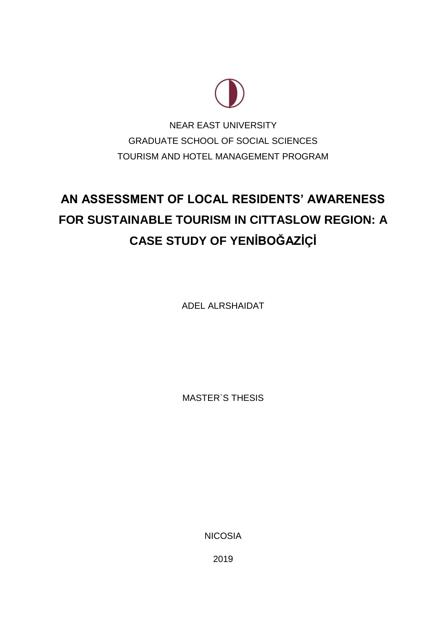

NEAR EAST UNIVERSITY GRADUATE SCHOOL OF SOCIAL SCIENCES TOURISM AND HOTEL MANAGEMENT PROGRAM

# **AN ASSESSMENT OF LOCAL RESIDENTS' AWARENESS FOR SUSTAINABLE TOURISM IN CITTASLOW REGION: A CASE STUDY OF YENİBOĞAZİÇİ**

ADEL ALRSHAIDAT

MASTER`S THESIS

NICOSIA

2019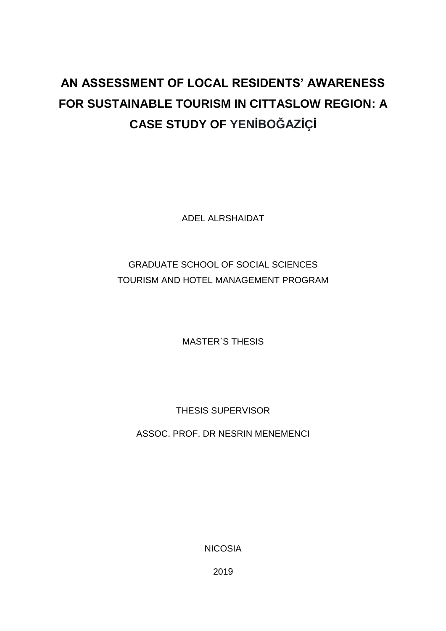# **AN ASSESSMENT OF LOCAL RESIDENTS' AWARENESS FOR SUSTAINABLE TOURISM IN CITTASLOW REGION: A CASE STUDY OF YENİBOĞAZİÇİ**

ADEL ALRSHAIDAT

## GRADUATE SCHOOL OF SOCIAL SCIENCES TOURISM AND HOTEL MANAGEMENT PROGRAM

MASTER`S THESIS

THESIS SUPERVISOR

ASSOC. PROF. DR NESRIN MENEMENCI

NICOSIA

2019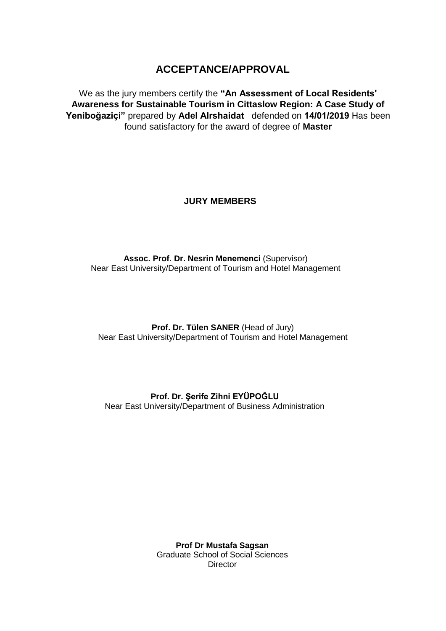## **ACCEPTANCE/APPROVAL**

<span id="page-2-0"></span>We as the jury members certify the **"An Assessment of Local Residents' Awareness for Sustainable Tourism in Cittaslow Region: A Case Study of Yeniboğaziçi**" prepared by Adel Alrshaidat defended on 14/01/2019 Has been found satisfactory for the award of degree of **Master**

### **JURY MEMBERS**

**Assoc. Prof. Dr. Nesrin Menemenci (Supervisor)** Near East University/Department of Tourism and Hotel Management

**Prof. Dr. Tülen SANER** (Head of Jury) Near East University/Department of Tourism and Hotel Management

**Prof. Dr. Şerife Zihni EYÜPOĞLU** Near East University/Department of Business Administration

> **Prof Dr Mustafa Sagsan** Graduate School of Social Sciences **Director**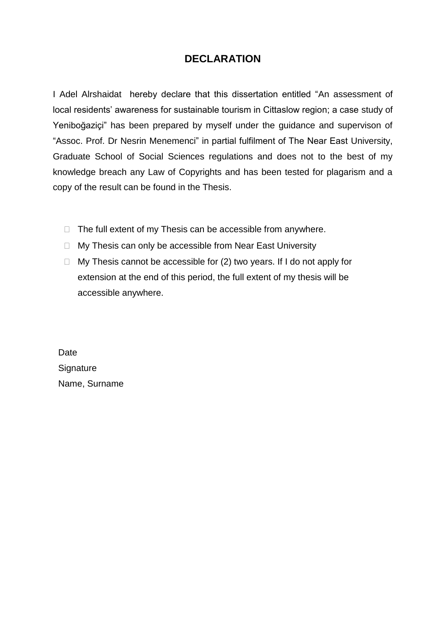## **DECLARATION**

<span id="page-3-0"></span>I Adel Alrshaidat hereby declare that this dissertation entitled "An assessment of local residents' awareness for sustainable tourism in Cittaslow region; a case study of Yeniboğaziçi" has been prepared by myself under the guidance and supervison of "Assoc. Prof. Dr Nesrin Menemenci" in partial fulfilment of The Near East University, Graduate School of Social Sciences regulations and does not to the best of my knowledge breach any Law of Copyrights and has been tested for plagarism and a copy of the result can be found in the Thesis.

- $\Box$  The full extent of my Thesis can be accessible from anywhere.
- $\Box$  My Thesis can only be accessible from Near East University
- $\Box$  My Thesis cannot be accessible for (2) two years. If I do not apply for extension at the end of this period, the full extent of my thesis will be accessible anywhere.

**Date Signature** Name, Surname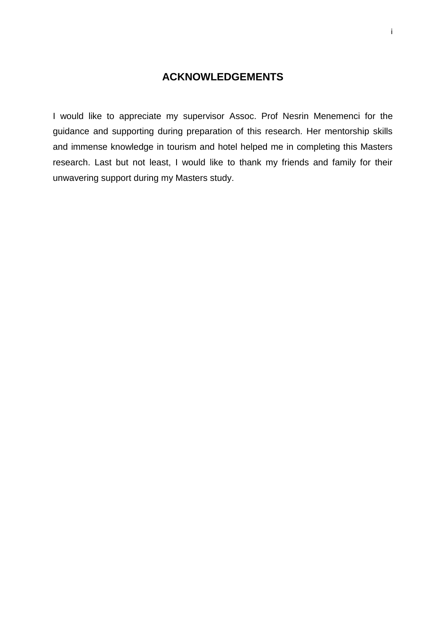## **ACKNOWLEDGEMENTS**

<span id="page-4-0"></span>I would like to appreciate my supervisor Assoc. Prof Nesrin Menemenci for the guidance and supporting during preparation of this research. Her mentorship skills and immense knowledge in tourism and hotel helped me in completing this Masters research. Last but not least, I would like to thank my friends and family for their unwavering support during my Masters study.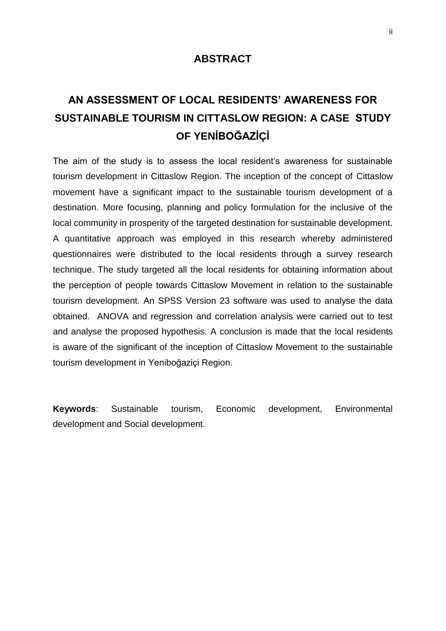## **ABSTRACT**

## <span id="page-5-0"></span>**AN ASSESSMENT OF LOCAL RESIDENTS' AWARENESS FOR SUSTAINABLE TOURISM IN CITTASLOW REGION: A CASE STUDY OF YENİBOĞAZİÇİ**

The aim of the study is to assess the local resident's awareness for sustainable tourism development in Cittaslow Region. The inception of the concept of Cittaslow movement have a significant impact to the sustainable tourism development of a destination. More focusing, planning and policy formulation for the inclusive of the local community in prosperity of the targeted destination for sustainable development. A quantitative approach was employed in this research whereby administered questionnaires were distributed to the local residents through a survey research technique. The study targeted all the local residents for obtaining information about the perception of people towards Cittaslow Movement in relation to the sustainable tourism development. An SPSS Version 23 software was used to analyse the data obtained. ANOVA and regression and correlation analysis were carried out to test and analyse the proposed hypothesis. A conclusion is made that the local residents is aware of the significant of the inception of Cittaslow Movement to the sustainable tourism development in Yeniboğaziçi Region.

**Keywords**: Sustainable tourism, Economic development, Environmental development and Social development.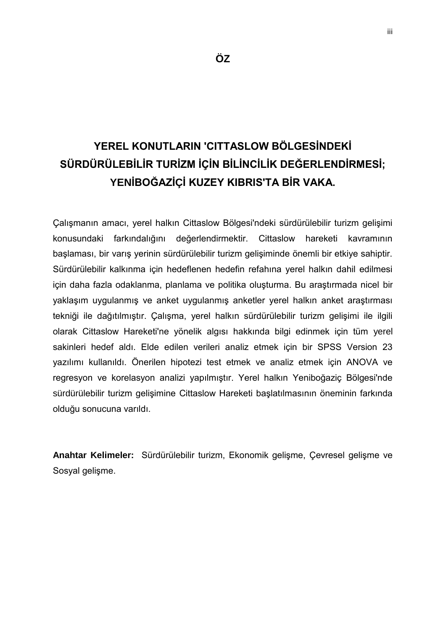## <span id="page-6-0"></span>**YEREL KONUTLARIN 'CITTASLOW BÖLGESİNDEKİ SÜRDÜRÜLEBİLİR TURİZM İÇİN BİLİNCİLİK DEĞERLENDİRMESİ; YENİBOĞAZİÇİ KUZEY KIBRIS'TA BİR VAKA.**

Çalışmanın amacı, yerel halkın Cittaslow Bölgesi'ndeki sürdürülebilir turizm gelişimi konusundaki farkındalığını değerlendirmektir. Cittaslow hareketi kavramının başlaması, bir varış yerinin sürdürülebilir turizm gelişiminde önemli bir etkiye sahiptir. Sürdürülebilir kalkınma için hedeflenen hedefin refahına yerel halkın dahil edilmesi için daha fazla odaklanma, planlama ve politika oluşturma. Bu araştırmada nicel bir yaklaşım uygulanmış ve anket uygulanmış anketler yerel halkın anket araştırması tekniği ile dağıtılmıştır. Çalışma, yerel halkın sürdürülebilir turizm gelişimi ile ilgili olarak Cittaslow Hareketi'ne yönelik algısı hakkında bilgi edinmek için tüm yerel sakinleri hedef aldı. Elde edilen verileri analiz etmek için bir SPSS Version 23 yazılımı kullanıldı. Önerilen hipotezi test etmek ve analiz etmek için ANOVA ve regresyon ve korelasyon analizi yapılmıştır. Yerel halkın Yeniboğaziç Bölgesi'nde sürdürülebilir turizm gelişimine Cittaslow Hareketi başlatılmasının öneminin farkında olduğu sonucuna varıldı.

**Anahtar Kelimeler:** Sürdürülebilir turizm, Ekonomik gelişme, Çevresel gelişme ve Sosyal gelişme.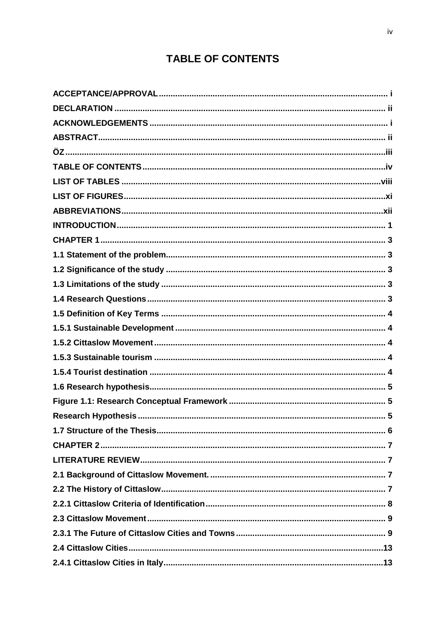## **TABLE OF CONTENTS**

<span id="page-7-0"></span>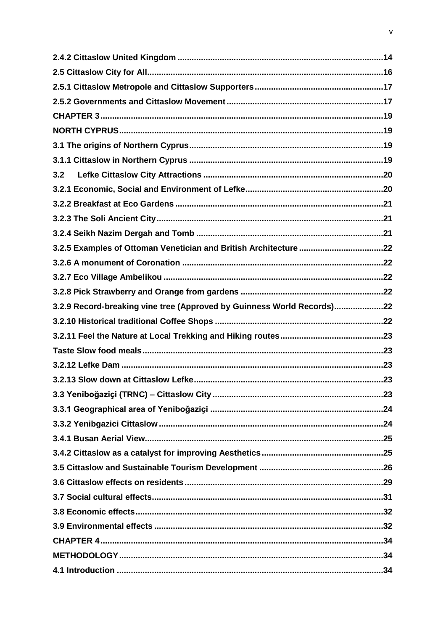| 3.2                                                                    |  |
|------------------------------------------------------------------------|--|
|                                                                        |  |
|                                                                        |  |
|                                                                        |  |
|                                                                        |  |
|                                                                        |  |
|                                                                        |  |
|                                                                        |  |
|                                                                        |  |
| 3.2.9 Record-breaking vine tree (Approved by Guinness World Records)22 |  |
|                                                                        |  |
|                                                                        |  |
|                                                                        |  |
|                                                                        |  |
|                                                                        |  |
|                                                                        |  |
|                                                                        |  |
|                                                                        |  |
|                                                                        |  |
|                                                                        |  |
|                                                                        |  |
|                                                                        |  |
|                                                                        |  |
|                                                                        |  |
|                                                                        |  |
|                                                                        |  |
|                                                                        |  |
|                                                                        |  |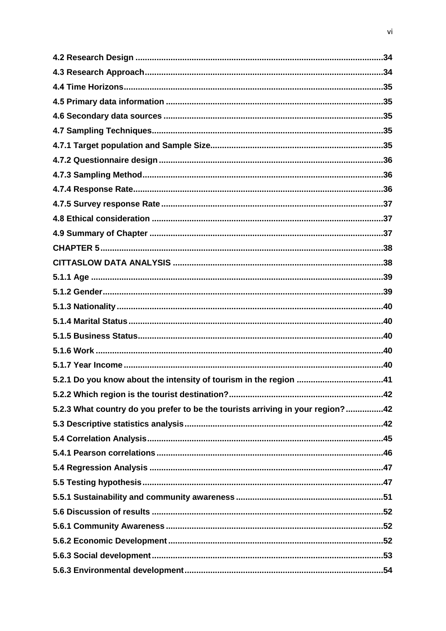| 5.2.3 What country do you prefer to be the tourists arriving in your region?42 |  |
|--------------------------------------------------------------------------------|--|
|                                                                                |  |
|                                                                                |  |
|                                                                                |  |
|                                                                                |  |
|                                                                                |  |
|                                                                                |  |
|                                                                                |  |
|                                                                                |  |
|                                                                                |  |
|                                                                                |  |
|                                                                                |  |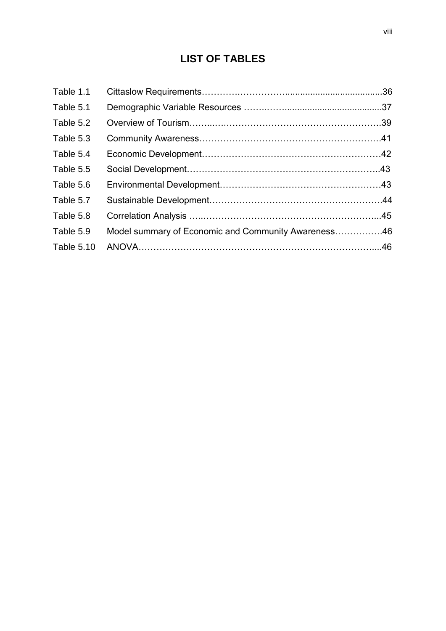## **LIST OF TABLES**

<span id="page-11-0"></span>

| Table 1.1  |                                                     |  |
|------------|-----------------------------------------------------|--|
| Table 5.1  |                                                     |  |
| Table 5.2  |                                                     |  |
| Table 5.3  |                                                     |  |
| Table 5.4  |                                                     |  |
| Table 5.5  |                                                     |  |
| Table 5.6  |                                                     |  |
| Table 5.7  |                                                     |  |
| Table 5.8  |                                                     |  |
| Table 5.9  | Model summary of Economic and Community Awareness46 |  |
| Table 5.10 |                                                     |  |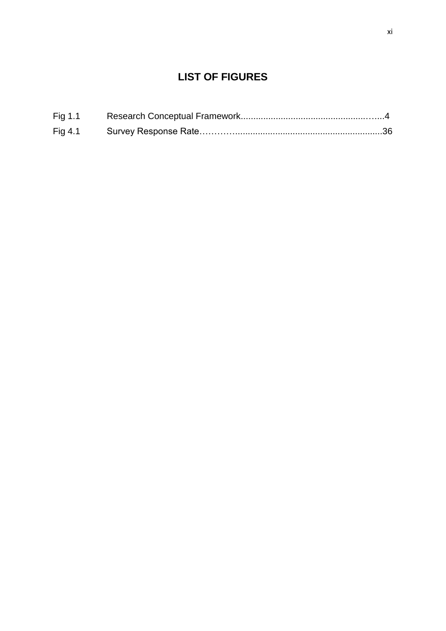## **LIST OF FIGURES**

<span id="page-12-0"></span>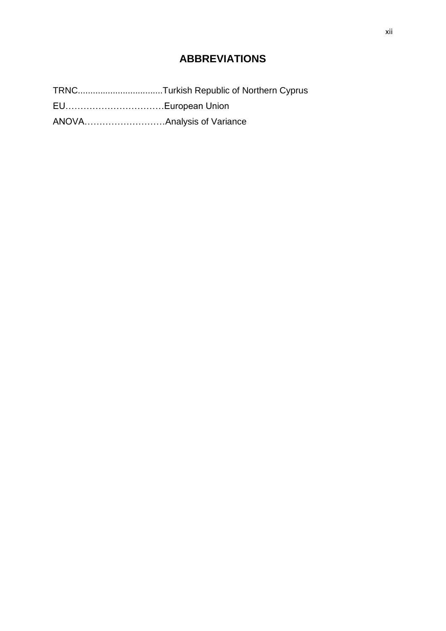## **ABBREVIATIONS**

<span id="page-13-0"></span>TRNC..................................Turkish Republic of Northern Cyprus

EU……………………………European Union

ANOVA………………………Analysis of Variance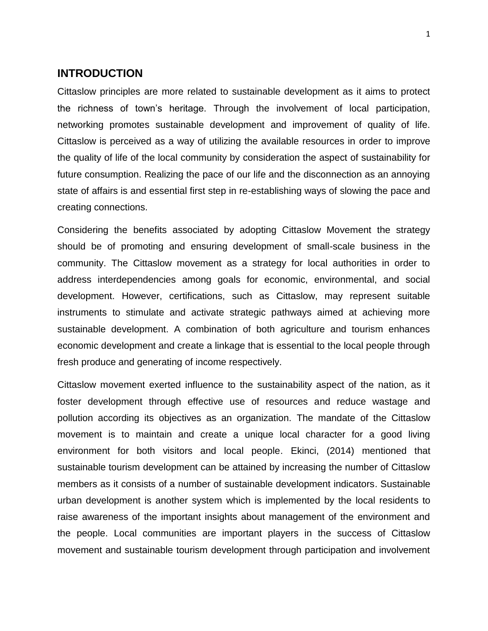### **INTRODUCTION**

<span id="page-14-0"></span>Cittaslow principles are more related to sustainable development as it aims to protect the richness of town's heritage. Through the involvement of local participation, networking promotes sustainable development and improvement of quality of life. Cittaslow is perceived as a way of utilizing the available resources in order to improve the quality of life of the local community by consideration the aspect of sustainability for future consumption. Realizing the pace of our life and the disconnection as an annoying state of affairs is and essential first step in re-establishing ways of slowing the pace and creating connections.

Considering the benefits associated by adopting Cittaslow Movement the strategy should be of promoting and ensuring development of small-scale business in the community. The Cittaslow movement as a strategy for local authorities in order to address interdependencies among goals for economic, environmental, and social development. However, certifications, such as Cittaslow, may represent suitable instruments to stimulate and activate strategic pathways aimed at achieving more sustainable development. A combination of both agriculture and tourism enhances economic development and create a linkage that is essential to the local people through fresh produce and generating of income respectively.

Cittaslow movement exerted influence to the sustainability aspect of the nation, as it foster development through effective use of resources and reduce wastage and pollution according its objectives as an organization. The mandate of the Cittaslow movement is to maintain and create a unique local character for a good living environment for both visitors and local people. Ekinci, (2014) mentioned that sustainable tourism development can be attained by increasing the number of Cittaslow members as it consists of a number of sustainable development indicators. Sustainable urban development is another system which is implemented by the local residents to raise awareness of the important insights about management of the environment and the people. Local communities are important players in the success of Cittaslow movement and sustainable tourism development through participation and involvement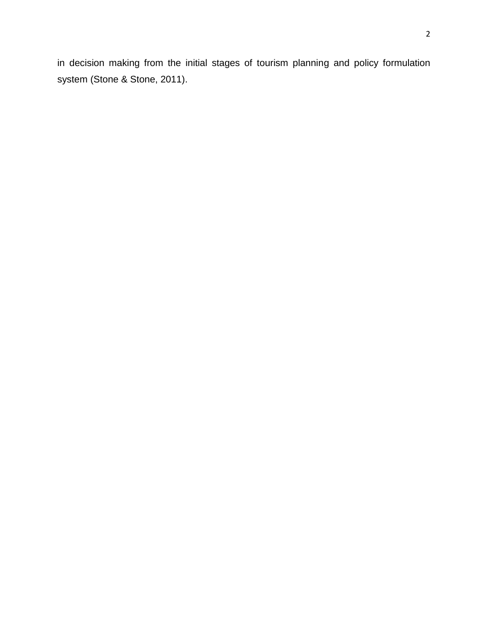in decision making from the initial stages of tourism planning and policy formulation system (Stone & Stone, 2011).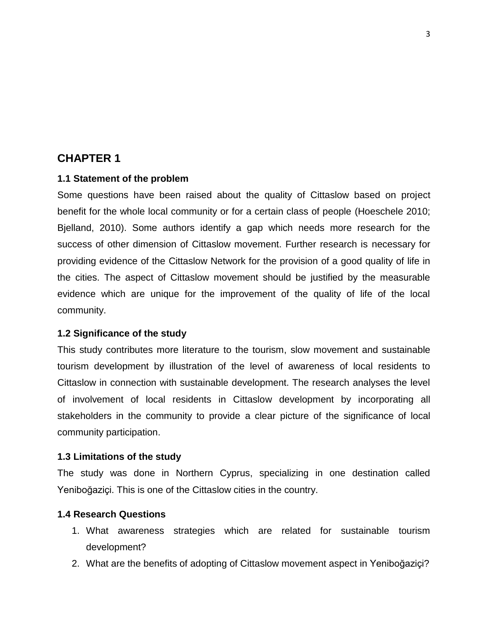## **CHAPTER 1**

#### **1.1 Statement of the problem**

<span id="page-16-1"></span><span id="page-16-0"></span>Some questions have been raised about the quality of Cittaslow based on project benefit for the whole local community or for a certain class of people (Hoeschele 2010; Bjelland, 2010). Some authors identify a gap which needs more research for the success of other dimension of Cittaslow movement. Further research is necessary for providing evidence of the Cittaslow Network for the provision of a good quality of life in the cities. The aspect of Cittaslow movement should be justified by the measurable evidence which are unique for the improvement of the quality of life of the local community.

#### **1.2 Significance of the study**

<span id="page-16-2"></span>This study contributes more literature to the tourism, slow movement and sustainable tourism development by illustration of the level of awareness of local residents to Cittaslow in connection with sustainable development. The research analyses the level of involvement of local residents in Cittaslow development by incorporating all stakeholders in the community to provide a clear picture of the significance of local community participation.

#### **1.3 Limitations of the study**

The study was done in Northern Cyprus, specializing in one destination called Yeniboğaziçi. This is one of the Cittaslow cities in the country.

#### <span id="page-16-3"></span>**1.4 Research Questions**

- 1. What awareness strategies which are related for sustainable tourism development?
- <span id="page-16-4"></span>2. What are the benefits of adopting of Cittaslow movement aspect in Yeniboğaziçi?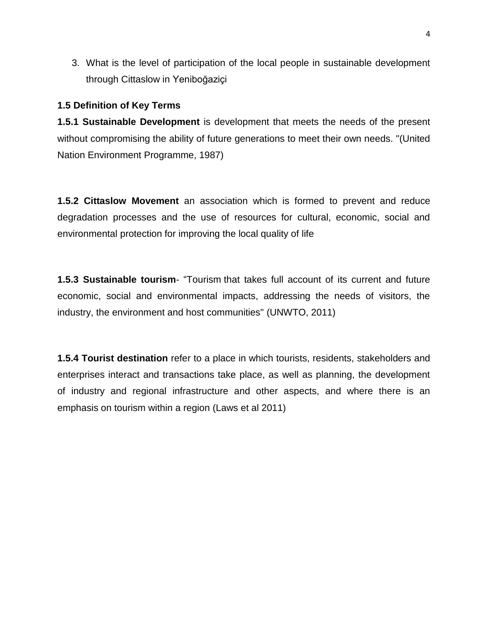3. What is the level of participation of the local people in sustainable development through Cittaslow in Yeniboğaziçi

#### **1.5 Definition of Key Terms**

<span id="page-17-0"></span>**1.5.1 Sustainable Development** is development that meets the needs of the present without compromising the ability of future generations to meet their own needs. "(United Nation Environment Programme, 1987)

<span id="page-17-2"></span><span id="page-17-1"></span>**1.5.2 Cittaslow Movement** an association which is formed to prevent and reduce degradation processes and the use of resources for cultural, economic, social and environmental protection for improving the local quality of life

**1.5.3 Sustainable tourism**- "Tourism that takes full account of its current and future economic, social and environmental impacts, addressing the needs of visitors, the industry, the environment and host communities" (UNWTO, 2011)

<span id="page-17-4"></span><span id="page-17-3"></span>**1.5.4 Tourist destination** refer to a place in which tourists, residents, stakeholders and enterprises interact and transactions take place, as well as planning, the development of industry and regional infrastructure and other aspects, and where there is an emphasis on tourism within a region (Laws et al 2011)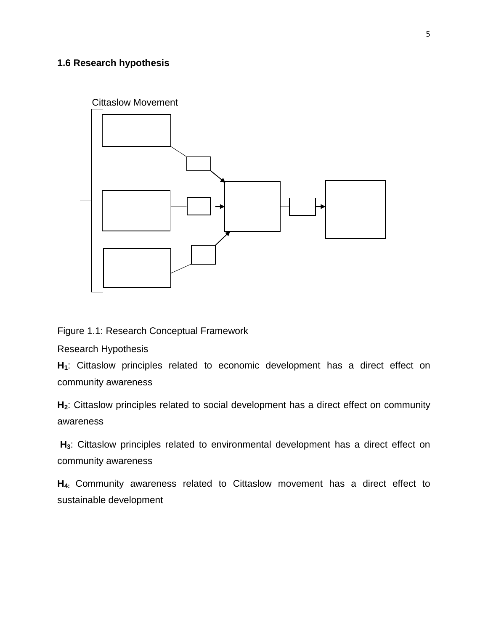## **1.6 Research hypothesis**

<span id="page-18-0"></span>

Figure 1.1: Research Conceptual Framework

Research Hypothesis

<span id="page-18-1"></span>**H1**: Cittaslow principles related to economic development has a direct effect on community awareness

<span id="page-18-2"></span>**H2**: Cittaslow principles related to social development has a direct effect on community awareness

**H3**: Cittaslow principles related to environmental development has a direct effect on community awareness

**H4:** Community awareness related to Cittaslow movement has a direct effect to sustainable development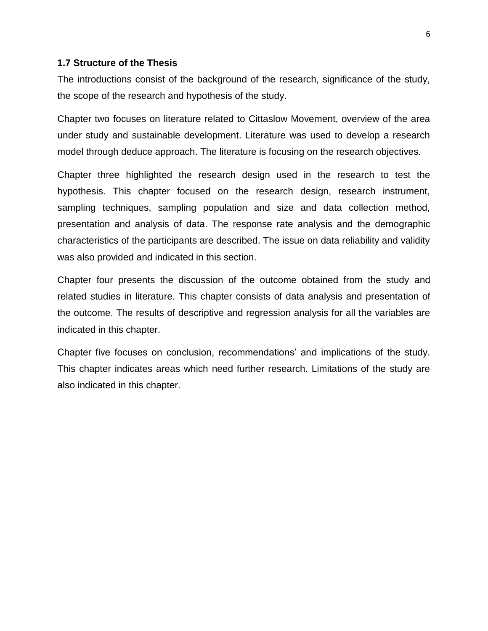#### **1.7 Structure of the Thesis**

The introductions consist of the background of the research, significance of the study, the scope of the research and hypothesis of the study.

<span id="page-19-0"></span>Chapter two focuses on literature related to Cittaslow Movement, overview of the area under study and sustainable development. Literature was used to develop a research model through deduce approach. The literature is focusing on the research objectives.

Chapter three highlighted the research design used in the research to test the hypothesis. This chapter focused on the research design, research instrument, sampling techniques, sampling population and size and data collection method, presentation and analysis of data. The response rate analysis and the demographic characteristics of the participants are described. The issue on data reliability and validity was also provided and indicated in this section.

Chapter four presents the discussion of the outcome obtained from the study and related studies in literature. This chapter consists of data analysis and presentation of the outcome. The results of descriptive and regression analysis for all the variables are indicated in this chapter.

Chapter five focuses on conclusion, recommendations' and implications of the study. This chapter indicates areas which need further research. Limitations of the study are also indicated in this chapter.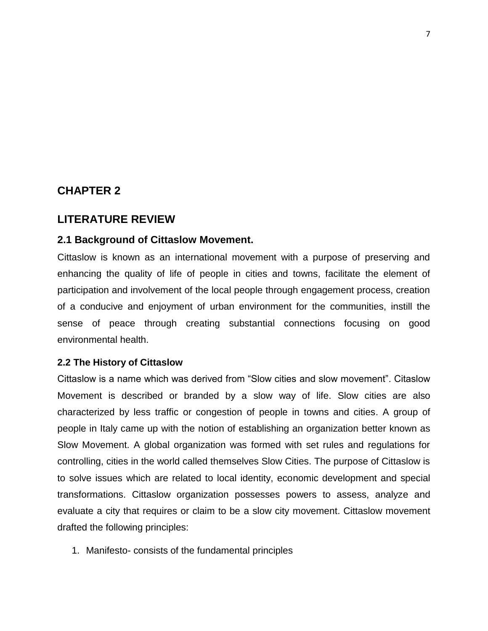## **CHAPTER 2**

## <span id="page-20-0"></span>**LITERATURE REVIEW**

#### <span id="page-20-1"></span>**2.1 Background of Cittaslow Movement.**

<span id="page-20-2"></span>Cittaslow is known as an international movement with a purpose of preserving and enhancing the quality of life of people in cities and towns, facilitate the element of participation and involvement of the local people through engagement process, creation of a conducive and enjoyment of urban environment for the communities, instill the sense of peace through creating substantial connections focusing on good environmental health.

#### **2.2 The History of Cittaslow**

<span id="page-20-3"></span>Cittaslow is a name which was derived from "Slow cities and slow movement". Citaslow Movement is described or branded by a slow way of life. Slow cities are also characterized by less traffic or congestion of people in towns and cities. A group of people in Italy came up with the notion of establishing an organization better known as Slow Movement. A global organization was formed with set rules and regulations for controlling, cities in the world called themselves Slow Cities. The purpose of Cittaslow is to solve issues which are related to local identity, economic development and special transformations. Cittaslow organization possesses powers to assess, analyze and evaluate a city that requires or claim to be a slow city movement. Cittaslow movement drafted the following principles:

1. Manifesto- consists of the fundamental principles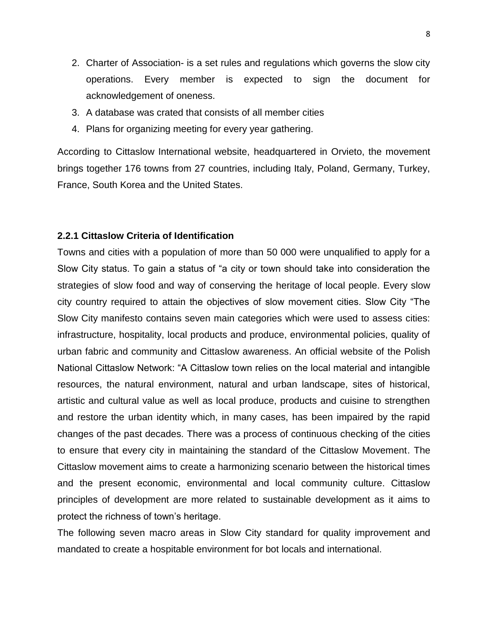- 2. Charter of Association- is a set rules and regulations which governs the slow city operations. Every member is expected to sign the document for acknowledgement of oneness.
- 3. A database was crated that consists of all member cities
- 4. Plans for organizing meeting for every year gathering.

According to Cittaslow International website, headquartered in Orvieto, the movement brings together 176 towns from 27 countries, including Italy, Poland, Germany, Turkey, France, South Korea and the United States.

#### **2.2.1 Cittaslow Criteria of Identification**

<span id="page-21-0"></span>Towns and cities with a population of more than 50 000 were unqualified to apply for a Slow City status. To gain a status of "a city or town should take into consideration the strategies of slow food and way of conserving the heritage of local people. Every slow city country required to attain the objectives of slow movement cities. Slow City "The Slow City manifesto contains seven main categories which were used to assess cities: infrastructure, hospitality, local products and produce, environmental policies, quality of urban fabric and community and Cittaslow awareness. An official website of the Polish National Cittaslow Network: "A Cittaslow town relies on the local material and intangible resources, the natural environment, natural and urban landscape, sites of historical, artistic and cultural value as well as local produce, products and cuisine to strengthen and restore the urban identity which, in many cases, has been impaired by the rapid changes of the past decades. There was a process of continuous checking of the cities to ensure that every city in maintaining the standard of the Cittaslow Movement. The Cittaslow movement aims to create a harmonizing scenario between the historical times and the present economic, environmental and local community culture. Cittaslow principles of development are more related to sustainable development as it aims to protect the richness of town's heritage.

The following seven macro areas in Slow City standard for quality improvement and mandated to create a hospitable environment for bot locals and international.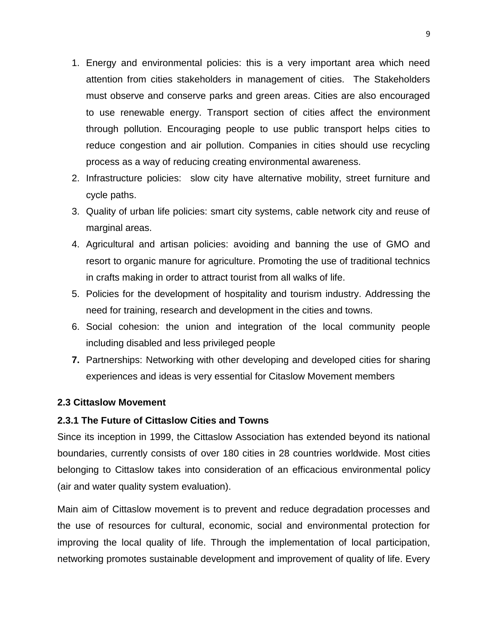- 1. Energy and environmental policies: this is a very important area which need attention from cities stakeholders in management of cities. The Stakeholders must observe and conserve parks and green areas. Cities are also encouraged to use renewable energy. Transport section of cities affect the environment through pollution. Encouraging people to use public transport helps cities to reduce congestion and air pollution. Companies in cities should use recycling process as a way of reducing creating environmental awareness.
- 2. Infrastructure policies: slow city have alternative mobility, street furniture and cycle paths.
- 3. Quality of urban life policies: smart city systems, cable network city and reuse of marginal areas.
- 4. Agricultural and artisan policies: avoiding and banning the use of GMO and resort to organic manure for agriculture. Promoting the use of traditional technics in crafts making in order to attract tourist from all walks of life.
- 5. Policies for the development of hospitality and tourism industry. Addressing the need for training, research and development in the cities and towns.
- 6. Social cohesion: the union and integration of the local community people including disabled and less privileged people
- **7.** Partnerships: Networking with other developing and developed cities for sharing experiences and ideas is very essential for Citaslow Movement members

## **2.3 Cittaslow Movement**

#### **2.3.1 The Future of Cittaslow Cities and Towns**

<span id="page-22-1"></span><span id="page-22-0"></span>Since its inception in 1999, the Cittaslow Association has extended beyond its national boundaries, currently consists of over 180 cities in 28 countries worldwide. Most cities belonging to Cittaslow takes into consideration of an efficacious environmental policy (air and water quality system evaluation).

Main aim of Cittaslow movement is to prevent and reduce degradation processes and the use of resources for cultural, economic, social and environmental protection for improving the local quality of life. Through the implementation of local participation, networking promotes sustainable development and improvement of quality of life. Every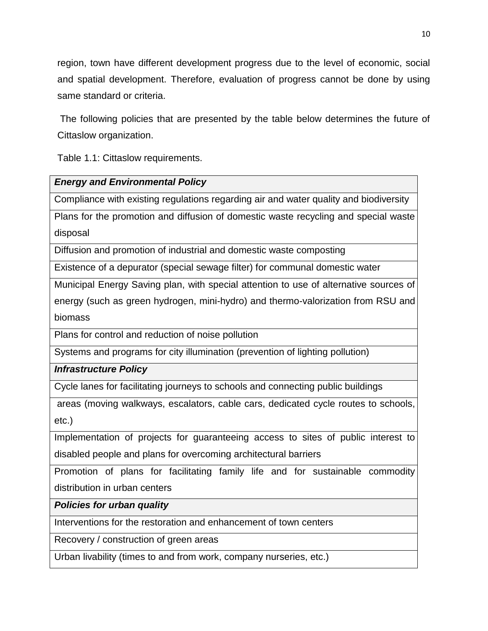region, town have different development progress due to the level of economic, social and spatial development. Therefore, evaluation of progress cannot be done by using same standard or criteria.

The following policies that are presented by the table below determines the future of Cittaslow organization.

Table 1.1: Cittaslow requirements.

## *Energy and Environmental Policy*

Compliance with existing regulations regarding air and water quality and biodiversity

Plans for the promotion and diffusion of domestic waste recycling and special waste disposal

Diffusion and promotion of industrial and domestic waste composting

Existence of a depurator (special sewage filter) for communal domestic water

Municipal Energy Saving plan, with special attention to use of alternative sources of energy (such as green hydrogen, mini-hydro) and thermo-valorization from RSU and biomass

Plans for control and reduction of noise pollution

Systems and programs for city illumination (prevention of lighting pollution)

*Infrastructure Policy*

Cycle lanes for facilitating journeys to schools and connecting public buildings

areas (moving walkways, escalators, cable cars, dedicated cycle routes to schools, etc.)

Implementation of projects for guaranteeing access to sites of public interest to disabled people and plans for overcoming architectural barriers

Promotion of plans for facilitating family life and for sustainable commodity distribution in urban centers

*Policies for urban quality*

Interventions for the restoration and enhancement of town centers

Recovery / construction of green areas

Urban livability (times to and from work, company nurseries, etc.)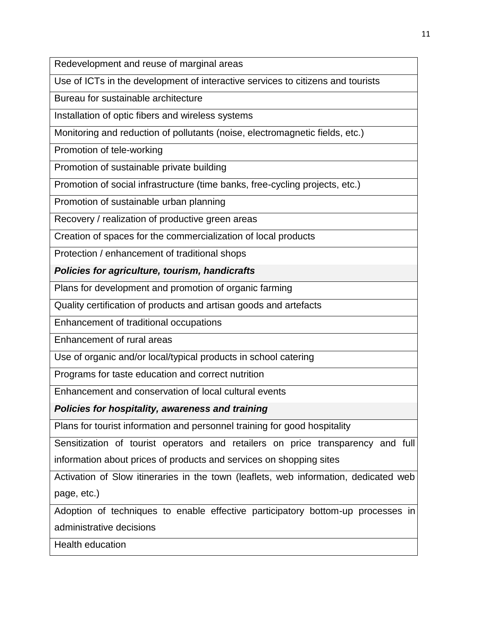Redevelopment and reuse of marginal areas

Use of ICTs in the development of interactive services to citizens and tourists

Bureau for sustainable architecture

Installation of optic fibers and wireless systems

Monitoring and reduction of pollutants (noise, electromagnetic fields, etc.)

Promotion of tele-working

Promotion of sustainable private building

Promotion of social infrastructure (time banks, free-cycling projects, etc.)

Promotion of sustainable urban planning

Recovery / realization of productive green areas

Creation of spaces for the commercialization of local products

Protection / enhancement of traditional shops

*Policies for agriculture, tourism, handicrafts*

Plans for development and promotion of organic farming

Quality certification of products and artisan goods and artefacts

Enhancement of traditional occupations

Enhancement of rural areas

Use of organic and/or local/typical products in school catering

Programs for taste education and correct nutrition

Enhancement and conservation of local cultural events

*Policies for hospitality, awareness and training*

Plans for tourist information and personnel training for good hospitality

Sensitization of tourist operators and retailers on price transparency and full information about prices of products and services on shopping sites

Activation of Slow itineraries in the town (leaflets, web information, dedicated web page, etc.)

Adoption of techniques to enable effective participatory bottom-up processes in administrative decisions

Health education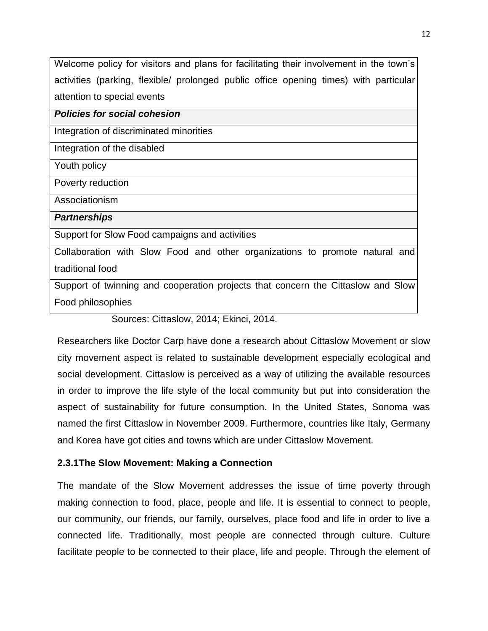Welcome policy for visitors and plans for facilitating their involvement in the town's activities (parking, flexible/ prolonged public office opening times) with particular attention to special events

#### *Policies for social cohesion*

Integration of discriminated minorities

Integration of the disabled

Youth policy

Poverty reduction

Associationism

*Partnerships*

Support for Slow Food campaigns and activities

Collaboration with Slow Food and other organizations to promote natural and traditional food

Support of twinning and cooperation projects that concern the Cittaslow and Slow Food philosophies

## Sources: Cittaslow, 2014; Ekinci, 2014.

Researchers like Doctor Carp have done a research about Cittaslow Movement or slow city movement aspect is related to sustainable development especially ecological and social development. Cittaslow is perceived as a way of utilizing the available resources in order to improve the life style of the local community but put into consideration the aspect of sustainability for future consumption. In the United States, Sonoma was named the first Cittaslow in November 2009. Furthermore, countries like Italy, Germany and Korea have got cities and towns which are under Cittaslow Movement.

## **2.3.1The Slow Movement: Making a Connection**

The mandate of the Slow Movement addresses the issue of time poverty through making connection to food, place, people and life. It is essential to connect to people, our community, our friends, our family, ourselves, place food and life in order to live a connected life. Traditionally, most people are connected through culture. Culture facilitate people to be connected to their place, life and people. Through the element of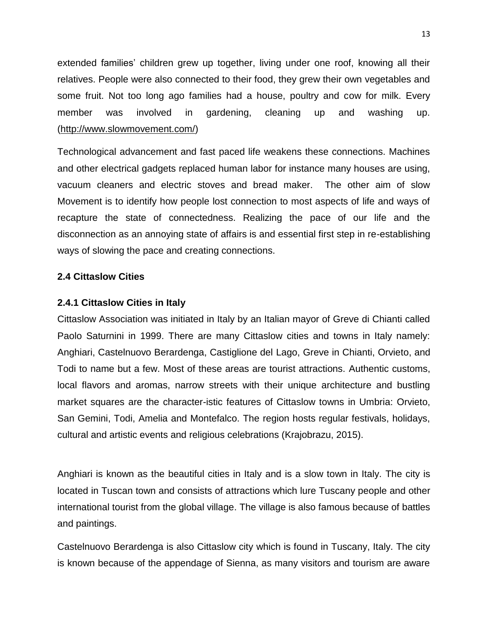extended families' children grew up together, living under one roof, knowing all their relatives. People were also connected to their food, they grew their own vegetables and some fruit. Not too long ago families had a house, poultry and cow for milk. Every member was involved in gardening, cleaning up and washing up. [\(http://www.slowmovement.com/\)](http://www.slowmovement.com/)

Technological advancement and fast paced life weakens these connections. Machines and other electrical gadgets replaced human labor for instance many houses are using, vacuum cleaners and electric stoves and bread maker. The other aim of slow Movement is to identify how people lost connection to most aspects of life and ways of recapture the state of connectedness. Realizing the pace of our life and the disconnection as an annoying state of affairs is and essential first step in re-establishing ways of slowing the pace and creating connections.

#### **2.4 Cittaslow Cities**

#### **2.4.1 Cittaslow Cities in Italy**

<span id="page-26-1"></span><span id="page-26-0"></span>Cittaslow Association was initiated in Italy by an Italian mayor of Greve di Chianti called Paolo Saturnini in 1999. There are many Cittaslow cities and towns in Italy namely: Anghiari, Castelnuovo Berardenga, Castiglione del Lago, Greve in Chianti, Orvieto, and Todi to name but a few. Most of these areas are tourist attractions. Authentic customs, local flavors and aromas, narrow streets with their unique architecture and bustling market squares are the character-istic features of Cittaslow towns in Umbria: Orvieto, San Gemini, Todi, Amelia and Montefalco. The region hosts regular festivals, holidays, cultural and artistic events and religious celebrations (Krajobrazu, 2015).

Anghiari is known as the beautiful cities in Italy and is a slow town in Italy. The city is located in Tuscan town and consists of attractions which lure Tuscany people and other international tourist from the global village. The village is also famous because of battles and paintings.

Castelnuovo Berardenga is also Cittaslow city which is found in Tuscany, Italy. The city is known because of the appendage of Sienna, as many visitors and tourism are aware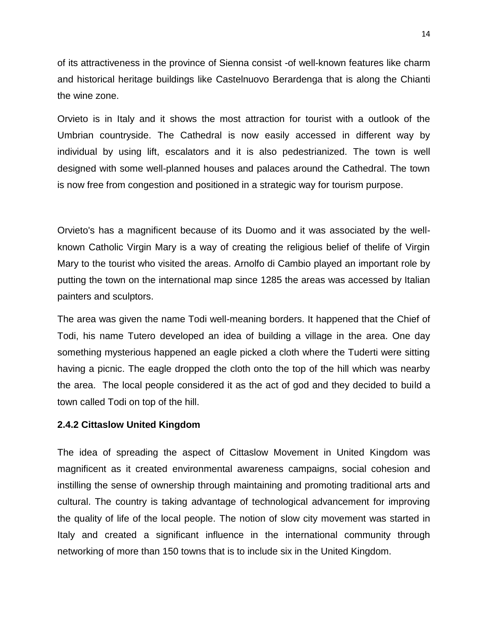of its attractiveness in the province of Sienna consist -of well-known features like charm and historical heritage buildings like Castelnuovo Berardenga that is along the Chianti the wine zone.

Orvieto is in Italy and it shows the most attraction for tourist with a outlook of the Umbrian countryside. The Cathedral is now easily accessed in different way by individual by using lift, escalators and it is also pedestrianized. The town is well designed with some well-planned houses and palaces around the Cathedral. The town is now free from congestion and positioned in a strategic way for tourism purpose.

Orvieto's has a magnificent because of its Duomo and it was associated by the wellknown Catholic Virgin Mary is a way of creating the religious belief of thelife of Virgin Mary to the tourist who visited the areas. Arnolfo di Cambio played an important role by putting the town on the international map since 1285 the areas was accessed by Italian painters and sculptors.

The area was given the name Todi well-meaning borders. It happened that the Chief of Todi, his name Tutero developed an idea of building a village in the area. One day something mysterious happened an eagle picked a cloth where the Tuderti were sitting having a picnic. The eagle dropped the cloth onto the top of the hill which was nearby the area. The local people considered it as the act of god and they decided to build a town called Todi on top of the hill.

#### **2.4.2 Cittaslow United Kingdom**

<span id="page-27-0"></span>The idea of spreading the aspect of Cittaslow Movement in United Kingdom was magnificent as it created environmental awareness campaigns, social cohesion and instilling the sense of ownership through maintaining and promoting traditional arts and cultural. The country is taking advantage of technological advancement for improving the quality of life of the local people. The notion of slow city movement was started in Italy and created a significant influence in the international community through networking of more than 150 towns that is to include six in the United Kingdom.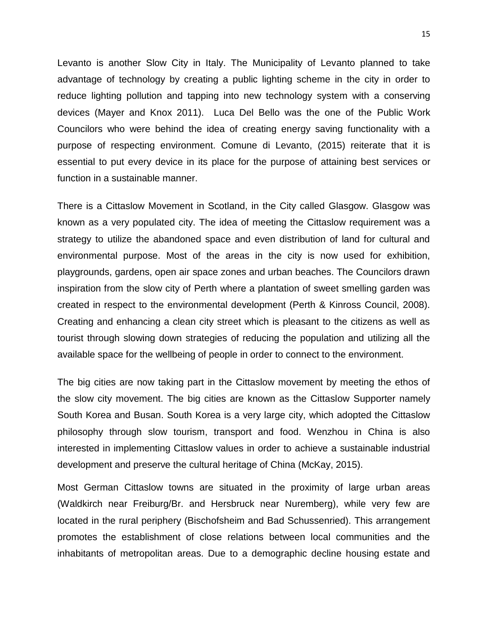Levanto is another Slow City in Italy. The Municipality of Levanto planned to take advantage of technology by creating a public lighting scheme in the city in order to reduce lighting pollution and tapping into new technology system with a conserving devices (Mayer and Knox 2011). Luca Del Bello was the one of the Public Work Councilors who were behind the idea of creating energy saving functionality with a purpose of respecting environment. Comune di Levanto, (2015) reiterate that it is essential to put every device in its place for the purpose of attaining best services or function in a sustainable manner.

There is a Cittaslow Movement in Scotland, in the City called Glasgow. Glasgow was known as a very populated city. The idea of meeting the Cittaslow requirement was a strategy to utilize the abandoned space and even distribution of land for cultural and environmental purpose. Most of the areas in the city is now used for exhibition, playgrounds, gardens, open air space zones and urban beaches. The Councilors drawn inspiration from the slow city of Perth where a plantation of sweet smelling garden was created in respect to the environmental development (Perth & Kinross Council, 2008). Creating and enhancing a clean city street which is pleasant to the citizens as well as tourist through slowing down strategies of reducing the population and utilizing all the available space for the wellbeing of people in order to connect to the environment.

The big cities are now taking part in the Cittaslow movement by meeting the ethos of the slow city movement. The big cities are known as the Cittaslow Supporter namely South Korea and Busan. South Korea is a very large city, which adopted the Cittaslow philosophy through slow tourism, transport and food. Wenzhou in China is also interested in implementing Cittaslow values in order to achieve a sustainable industrial development and preserve the cultural heritage of China (McKay, 2015).

Most German Cittaslow towns are situated in the proximity of large urban areas (Waldkirch near Freiburg/Br. and Hersbruck near Nuremberg), while very few are located in the rural periphery (Bischofsheim and Bad Schussenried). This arrangement promotes the establishment of close relations between local communities and the inhabitants of metropolitan areas. Due to a demographic decline housing estate and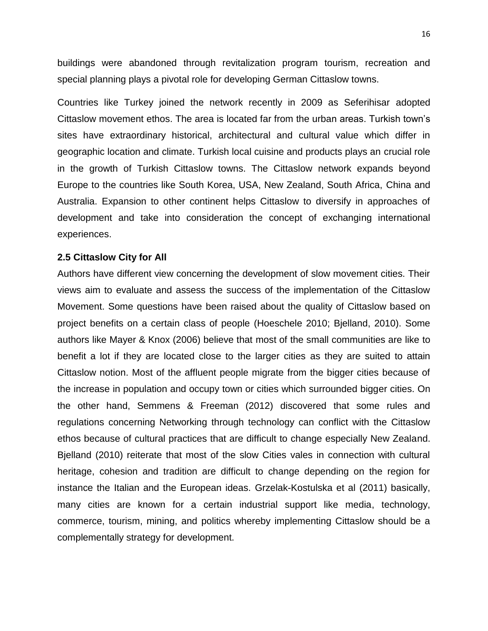buildings were abandoned through revitalization program tourism, recreation and special planning plays a pivotal role for developing German Cittaslow towns.

Countries like Turkey joined the network recently in 2009 as Seferihisar adopted Cittaslow movement ethos. The area is located far from the urban areas. Turkish town's sites have extraordinary historical, architectural and cultural value which differ in geographic location and climate. Turkish local cuisine and products plays an crucial role in the growth of Turkish Cittaslow towns. The Cittaslow network expands beyond Europe to the countries like South Korea, USA, New Zealand, South Africa, China and Australia. Expansion to other continent helps Cittaslow to diversify in approaches of development and take into consideration the concept of exchanging international experiences.

#### **2.5 Cittaslow City for All**

<span id="page-29-0"></span>Authors have different view concerning the development of slow movement cities. Their views aim to evaluate and assess the success of the implementation of the Cittaslow Movement. Some questions have been raised about the quality of Cittaslow based on project benefits on a certain class of people (Hoeschele 2010; Bjelland, 2010). Some authors like Mayer & Knox (2006) believe that most of the small communities are like to benefit a lot if they are located close to the larger cities as they are suited to attain Cittaslow notion. Most of the affluent people migrate from the bigger cities because of the increase in population and occupy town or cities which surrounded bigger cities. On the other hand, Semmens & Freeman (2012) discovered that some rules and regulations concerning Networking through technology can conflict with the Cittaslow ethos because of cultural practices that are difficult to change especially New Zealand. Bjelland (2010) reiterate that most of the slow Cities vales in connection with cultural heritage, cohesion and tradition are difficult to change depending on the region for instance the Italian and the European ideas. Grzelak-Kostulska et al (2011) basically, many cities are known for a certain industrial support like media, technology, commerce, tourism, mining, and politics whereby implementing Cittaslow should be a complementally strategy for development.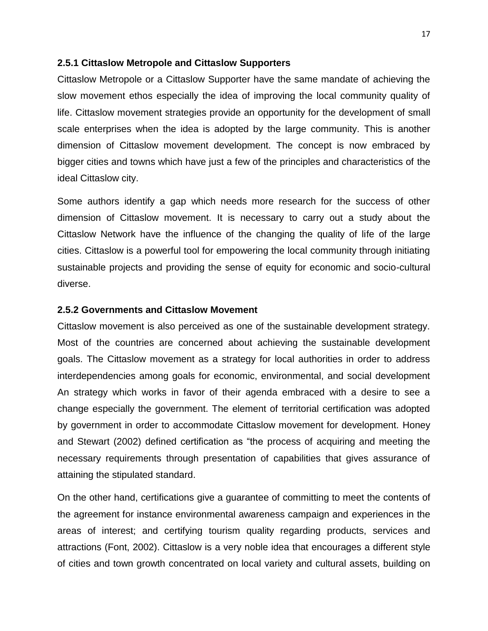#### **2.5.1 Cittaslow Metropole and Cittaslow Supporters**

<span id="page-30-0"></span>Cittaslow Metropole or a Cittaslow Supporter have the same mandate of achieving the slow movement ethos especially the idea of improving the local community quality of life. Cittaslow movement strategies provide an opportunity for the development of small scale enterprises when the idea is adopted by the large community. This is another dimension of Cittaslow movement development. The concept is now embraced by bigger cities and towns which have just a few of the principles and characteristics of the ideal Cittaslow city.

Some authors identify a gap which needs more research for the success of other dimension of Cittaslow movement. It is necessary to carry out a study about the Cittaslow Network have the influence of the changing the quality of life of the large cities. Cittaslow is a powerful tool for empowering the local community through initiating sustainable projects and providing the sense of equity for economic and socio-cultural diverse.

#### **2.5.2 Governments and Cittaslow Movement**

<span id="page-30-1"></span>Cittaslow movement is also perceived as one of the sustainable development strategy. Most of the countries are concerned about achieving the sustainable development goals. The Cittaslow movement as a strategy for local authorities in order to address interdependencies among goals for economic, environmental, and social development An strategy which works in favor of their agenda embraced with a desire to see a change especially the government. The element of territorial certification was adopted by government in order to accommodate Cittaslow movement for development. Honey and Stewart (2002) defined certification as "the process of acquiring and meeting the necessary requirements through presentation of capabilities that gives assurance of attaining the stipulated standard.

On the other hand, certifications give a guarantee of committing to meet the contents of the agreement for instance environmental awareness campaign and experiences in the areas of interest; and certifying tourism quality regarding products, services and attractions (Font, 2002). Cittaslow is a very noble idea that encourages a different style of cities and town growth concentrated on local variety and cultural assets, building on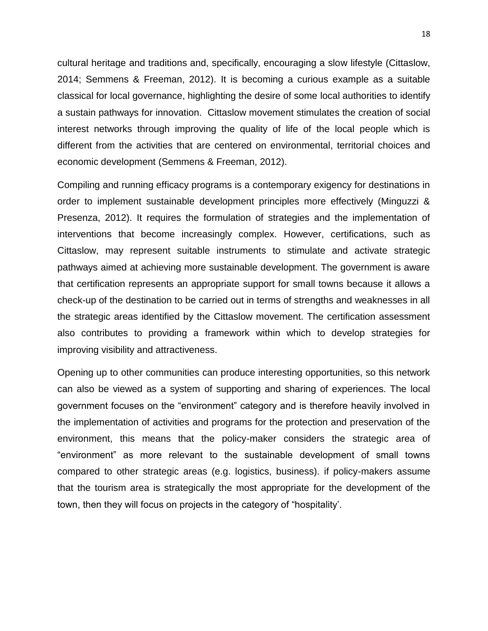cultural heritage and traditions and, specifically, encouraging a slow lifestyle (Cittaslow, 2014; Semmens & Freeman, 2012). It is becoming a curious example as a suitable classical for local governance, highlighting the desire of some local authorities to identify a sustain pathways for innovation. Cittaslow movement stimulates the creation of social interest networks through improving the quality of life of the local people which is different from the activities that are centered on environmental, territorial choices and economic development (Semmens & Freeman, 2012).

Compiling and running efficacy programs is a contemporary exigency for destinations in order to implement sustainable development principles more effectively (Minguzzi & Presenza, 2012). It requires the formulation of strategies and the implementation of interventions that become increasingly complex. However, certifications, such as Cittaslow, may represent suitable instruments to stimulate and activate strategic pathways aimed at achieving more sustainable development. The government is aware that certification represents an appropriate support for small towns because it allows a check-up of the destination to be carried out in terms of strengths and weaknesses in all the strategic areas identified by the Cittaslow movement. The certification assessment also contributes to providing a framework within which to develop strategies for improving visibility and attractiveness.

Opening up to other communities can produce interesting opportunities, so this network can also be viewed as a system of supporting and sharing of experiences. The local government focuses on the "environment" category and is therefore heavily involved in the implementation of activities and programs for the protection and preservation of the environment, this means that the policy-maker considers the strategic area of "environment" as more relevant to the sustainable development of small towns compared to other strategic areas (e.g. logistics, business). if policy-makers assume that the tourism area is strategically the most appropriate for the development of the town, then they will focus on projects in the category of "hospitality'.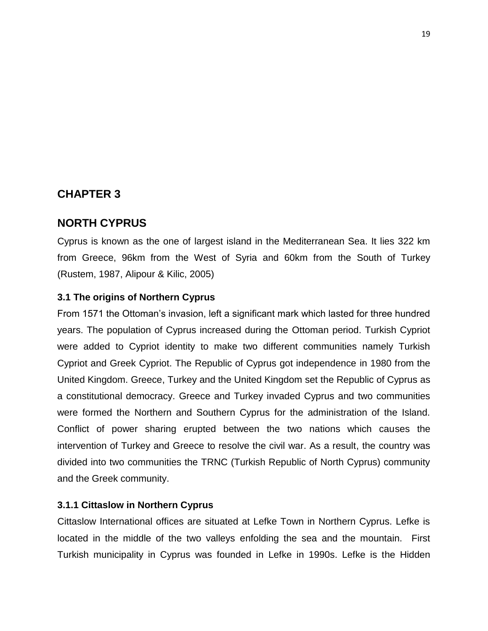## **CHAPTER 3**

## <span id="page-32-0"></span>**NORTH CYPRUS**

<span id="page-32-1"></span>Cyprus is known as the one of largest island in the Mediterranean Sea. It lies 322 km from Greece, 96km from the West of Syria and 60km from the South of Turkey (Rustem, 1987, Alipour & Kilic, 2005)

#### **3.1 The origins of Northern Cyprus**

<span id="page-32-2"></span>From 1571 the Ottoman's invasion, left a significant mark which lasted for three hundred years. The population of Cyprus increased during the Ottoman period. Turkish Cypriot were added to Cypriot identity to make two different communities namely Turkish Cypriot and Greek Cypriot. The Republic of Cyprus got independence in 1980 from the United Kingdom. Greece, Turkey and the United Kingdom set the Republic of Cyprus as a constitutional democracy. Greece and Turkey invaded Cyprus and two communities were formed the Northern and Southern Cyprus for the administration of the Island. Conflict of power sharing erupted between the two nations which causes the intervention of Turkey and Greece to resolve the civil war. As a result, the country was divided into two communities the TRNC (Turkish Republic of North Cyprus) community and the Greek community.

#### **3.1.1 Cittaslow in Northern Cyprus**

<span id="page-32-3"></span>Cittaslow International offices are situated at Lefke Town in Northern Cyprus. Lefke is located in the middle of the two valleys enfolding the sea and the mountain. First Turkish municipality in Cyprus was founded in Lefke in 1990s. Lefke is the Hidden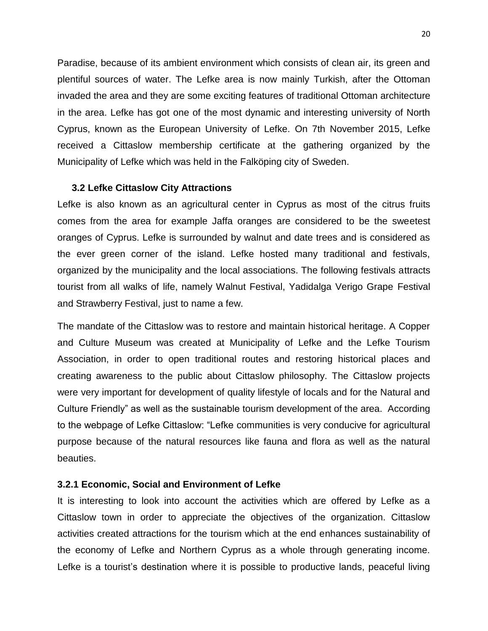Paradise, because of its ambient environment which consists of clean air, its green and plentiful sources of water. The Lefke area is now mainly Turkish, after the Ottoman invaded the area and they are some exciting features of traditional Ottoman architecture in the area. Lefke has got one of the most dynamic and interesting university of North Cyprus, known as the European University of Lefke. On 7th November 2015, Lefke received a Cittaslow membership certificate at the gathering organized by the Municipality of Lefke which was held in the Falköping city of Sweden.

#### **3.2 Lefke Cittaslow City Attractions**

<span id="page-33-0"></span>Lefke is also known as an agricultural center in Cyprus as most of the citrus fruits comes from the area for example Jaffa oranges are considered to be the sweetest oranges of Cyprus. Lefke is surrounded by walnut and date trees and is considered as the ever green corner of the island. Lefke hosted many traditional and festivals, organized by the municipality and the local associations. The following festivals attracts tourist from all walks of life, namely Walnut Festival, Yadidalga Verigo Grape Festival and Strawberry Festival, just to name a few.

The mandate of the Cittaslow was to restore and maintain historical heritage. A Copper and Culture Museum was created at Municipality of Lefke and the Lefke Tourism Association, in order to open traditional routes and restoring historical places and creating awareness to the public about Cittaslow philosophy. The Cittaslow projects were very important for development of quality lifestyle of locals and for the Natural and Culture Friendly" as well as the sustainable tourism development of the area. According to the webpage of Lefke Cittaslow: "Lefke communities is very conducive for agricultural purpose because of the natural resources like fauna and flora as well as the natural beauties.

#### **3.2.1 Economic, Social and Environment of Lefke**

<span id="page-33-1"></span>It is interesting to look into account the activities which are offered by Lefke as a Cittaslow town in order to appreciate the objectives of the organization. Cittaslow activities created attractions for the tourism which at the end enhances sustainability of the economy of Lefke and Northern Cyprus as a whole through generating income. Lefke is a tourist's destination where it is possible to productive lands, peaceful living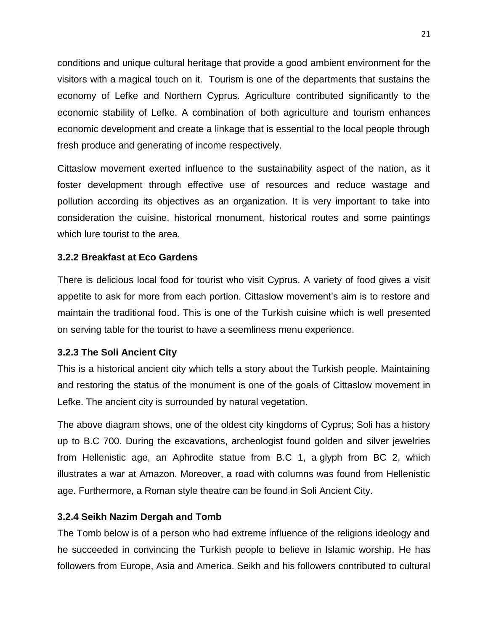conditions and unique cultural heritage that provide a good ambient environment for the visitors with a magical touch on it. Tourism is one of the departments that sustains the economy of Lefke and Northern Cyprus. Agriculture contributed significantly to the economic stability of Lefke. A combination of both agriculture and tourism enhances economic development and create a linkage that is essential to the local people through fresh produce and generating of income respectively.

Cittaslow movement exerted influence to the sustainability aspect of the nation, as it foster development through effective use of resources and reduce wastage and pollution according its objectives as an organization. It is very important to take into consideration the cuisine, historical monument, historical routes and some paintings which lure tourist to the area.

## **3.2.2 Breakfast at Eco Gardens**

<span id="page-34-0"></span>There is delicious local food for tourist who visit Cyprus. A variety of food gives a visit appetite to ask for more from each portion. Cittaslow movement's aim is to restore and maintain the traditional food. This is one of the Turkish cuisine which is well presented on serving table for the tourist to have a seemliness menu experience.

#### **3.2.3 The Soli Ancient City**

<span id="page-34-1"></span>This is a historical ancient city which tells a story about the Turkish people. Maintaining and restoring the status of the monument is one of the goals of Cittaslow movement in Lefke. The ancient city is surrounded by natural vegetation.

The above diagram shows, one of the oldest city kingdoms of Cyprus; Soli has a history up to B.C 700. During the excavations, archeologist found golden and silver jewelries from Hellenistic age, an Aphrodite statue from B.C 1, a glyph from BC 2, which illustrates a war at Amazon. Moreover, a road with columns was found from Hellenistic age. Furthermore, a Roman style theatre can be found in Soli Ancient City.

#### **3.2.4 Seikh Nazim Dergah and Tomb**

<span id="page-34-2"></span>The Tomb below is of a person who had extreme influence of the religions ideology and he succeeded in convincing the Turkish people to believe in Islamic worship. He has followers from Europe, Asia and America. Seikh and his followers contributed to cultural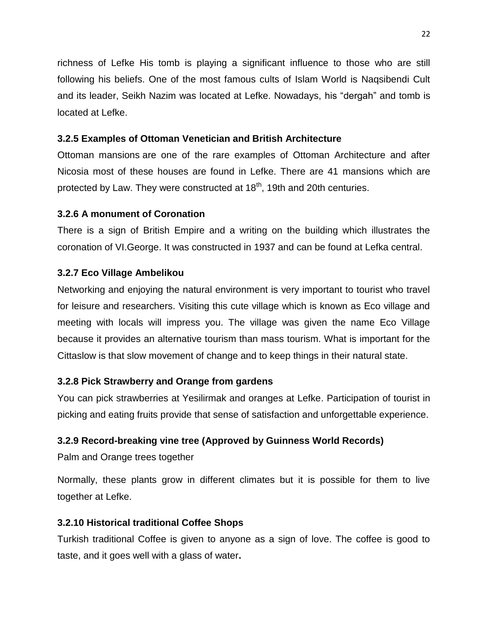richness of Lefke His tomb is playing a significant influence to those who are still following his beliefs. One of the most famous cults of Islam World is Naqsibendi Cult and its leader, Seikh Nazim was located at Lefke. Nowadays, his "dergah" and tomb is located at Lefke.

## **3.2.5 Examples of Ottoman Venetician and British Architecture**

<span id="page-35-0"></span>Ottoman mansions are one of the rare examples of Ottoman Architecture and after Nicosia most of these houses are found in Lefke. There are 41 mansions which are protected by Law. They were constructed at  $18<sup>th</sup>$ , 19th and 20th centuries.

## **3.2.6 A monument of Coronation**

<span id="page-35-1"></span>There is a sign of British Empire and a writing on the building which illustrates the coronation of VI.George. It was constructed in 1937 and can be found at Lefka central.

## **3.2.7 Eco Village Ambelikou**

<span id="page-35-2"></span>Networking and enjoying the natural environment is very important to tourist who travel for leisure and researchers. Visiting this cute village which is known as Eco village and meeting with locals will impress you. The village was given the name Eco Village because it provides an alternative tourism than mass tourism. What is important for the Cittaslow is that slow movement of change and to keep things in their natural state.

## **3.2.8 Pick Strawberry and Orange from gardens**

<span id="page-35-3"></span>You can pick strawberries at Yesilirmak and oranges at Lefke. Participation of tourist in picking and eating fruits provide that sense of satisfaction and unforgettable experience.

## **3.2.9 Record-breaking vine tree (Approved by [Guinness World Records\)](http://www.guinnessworldrecords.com/)**

Palm and Orange trees together

<span id="page-35-4"></span>Normally, these plants grow in different climates but it is possible for them to live together at Lefke.

## **3.2.10 Historical traditional Coffee Shops**

<span id="page-35-5"></span>Turkish traditional Coffee is given to anyone as a sign of love. The coffee is good to taste, and it goes well with a glass of water**.**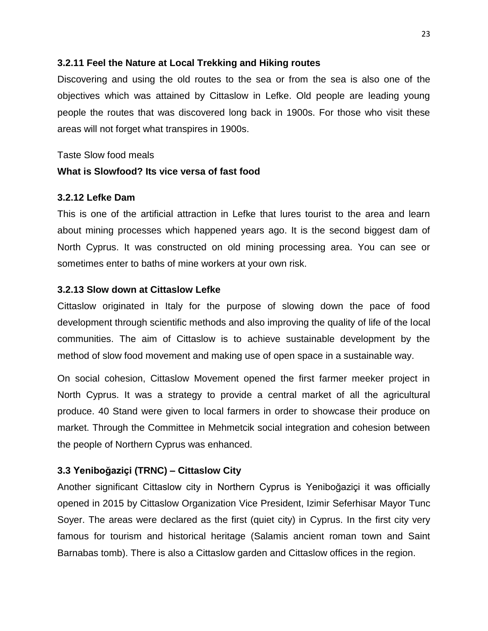### **3.2.11 Feel the Nature at Local Trekking and Hiking routes**

Discovering and using the old routes to the sea or from the sea is also one of the objectives which was attained by Cittaslow in Lefke. Old people are leading young people the routes that was discovered long back in 1900s. For those who visit these areas will not forget what transpires in 1900s.

Taste Slow food meals

### **What is Slowfood? Its vice versa of fast food**

### **3.2.12 Lefke Dam**

This is one of the artificial attraction in Lefke that lures tourist to the area and learn about mining processes which happened years ago. It is the second biggest dam of North Cyprus. It was constructed on old mining processing area. You can see or sometimes enter to baths of mine workers at your own risk.

### **3.2.13 Slow down at Cittaslow Lefke**

Cittaslow originated in Italy for the purpose of slowing down the pace of food development through scientific methods and also improving the quality of life of the local communities. The aim of Cittaslow is to achieve sustainable development by the method of slow food movement and making use of open space in a sustainable way.

On social cohesion, Cittaslow Movement opened the first farmer meeker project in North Cyprus. It was a strategy to provide a central market of all the agricultural produce. 40 Stand were given to local farmers in order to showcase their produce on market. Through the Committee in Mehmetcik social integration and cohesion between the people of Northern Cyprus was enhanced.

### **3.3 Yeniboğaziçi (TRNC) – Cittaslow City**

Another significant Cittaslow city in Northern Cyprus is Yeniboğaziçi it was officially opened in 2015 by Cittaslow Organization Vice President, Izimir Seferhisar Mayor Tunc Soyer. The areas were declared as the first (quiet city) in Cyprus. In the first city very famous for tourism and historical heritage (Salamis ancient roman town and Saint Barnabas tomb). There is also a Cittaslow garden and Cittaslow offices in the region.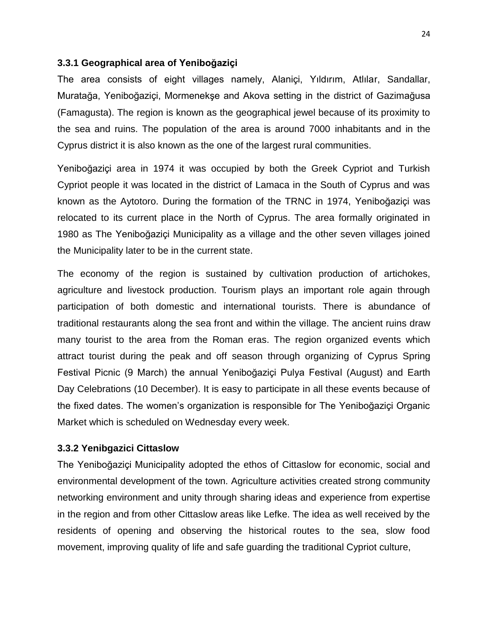#### **3.3.1 Geographical area of Yeniboğaziçi**

The area consists of eight villages namely, Alaniçi, Yıldırım, Atlılar, Sandallar, Muratağa, Yeniboğaziçi, Mormenekşe and Akova setting in the district of Gazimağusa (Famagusta). The region is known as the geographical jewel because of its proximity to the sea and ruins. The population of the area is around 7000 inhabitants and in the Cyprus district it is also known as the one of the largest rural communities.

Yeniboğaziçi area in 1974 it was occupied by both the Greek Cypriot and Turkish Cypriot people it was located in the district of Lamaca in the South of Cyprus and was known as the Aytotoro. During the formation of the TRNC in 1974, Yeniboğaziçi was relocated to its current place in the North of Cyprus. The area formally originated in 1980 as The Yeniboğaziçi Municipality as a village and the other seven villages joined the Municipality later to be in the current state.

The economy of the region is sustained by cultivation production of artichokes, agriculture and livestock production. Tourism plays an important role again through participation of both domestic and international tourists. There is abundance of traditional restaurants along the sea front and within the village. The ancient ruins draw many tourist to the area from the Roman eras. The region organized events which attract tourist during the peak and off season through organizing of Cyprus Spring Festival Picnic (9 March) the annual Yeniboğaziçi Pulya Festival (August) and Earth Day Celebrations (10 December). It is easy to participate in all these events because of the fixed dates. The women's organization is responsible for The Yeniboğaziçi Organic Market which is scheduled on Wednesday every week.

#### **3.3.2 Yenibgazici Cittaslow**

The Yeniboğaziçi Municipality adopted the ethos of Cittaslow for economic, social and environmental development of the town. Agriculture activities created strong community networking environment and unity through sharing ideas and experience from expertise in the region and from other Cittaslow areas like Lefke. The idea as well received by the residents of opening and observing the historical routes to the sea, slow food movement, improving quality of life and safe guarding the traditional Cypriot culture,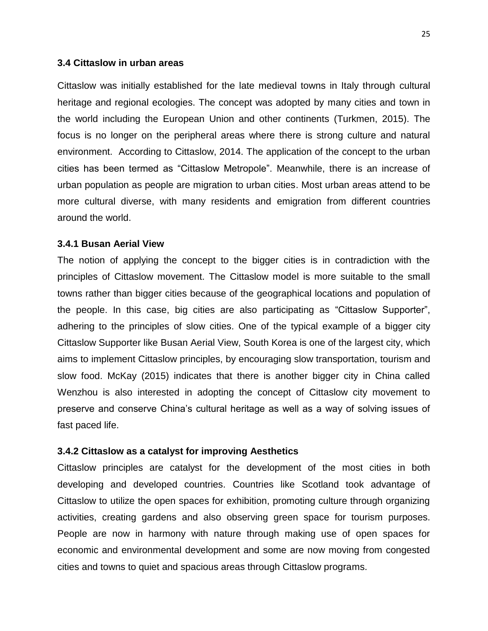#### **3.4 Cittaslow in urban areas**

Cittaslow was initially established for the late medieval towns in Italy through cultural heritage and regional ecologies. The concept was adopted by many cities and town in the world including the European Union and other continents (Turkmen, 2015). The focus is no longer on the peripheral areas where there is strong culture and natural environment. According to Cittaslow, 2014. The application of the concept to the urban cities has been termed as "Cittaslow Metropole". Meanwhile, there is an increase of urban population as people are migration to urban cities. Most urban areas attend to be more cultural diverse, with many residents and emigration from different countries around the world.

#### **3.4.1 Busan Aerial View**

The notion of applying the concept to the bigger cities is in contradiction with the principles of Cittaslow movement. The Cittaslow model is more suitable to the small towns rather than bigger cities because of the geographical locations and population of the people. In this case, big cities are also participating as "Cittaslow Supporter", adhering to the principles of slow cities. One of the typical example of a bigger city Cittaslow Supporter like Busan Aerial View, South Korea is one of the largest city, which aims to implement Cittaslow principles, by encouraging slow transportation, tourism and slow food. McKay (2015) indicates that there is another bigger city in China called Wenzhou is also interested in adopting the concept of Cittaslow city movement to preserve and conserve China's cultural heritage as well as a way of solving issues of fast paced life.

#### **3.4.2 Cittaslow as a catalyst for improving Aesthetics**

Cittaslow principles are catalyst for the development of the most cities in both developing and developed countries. Countries like Scotland took advantage of Cittaslow to utilize the open spaces for exhibition, promoting culture through organizing activities, creating gardens and also observing green space for tourism purposes. People are now in harmony with nature through making use of open spaces for economic and environmental development and some are now moving from congested cities and towns to quiet and spacious areas through Cittaslow programs.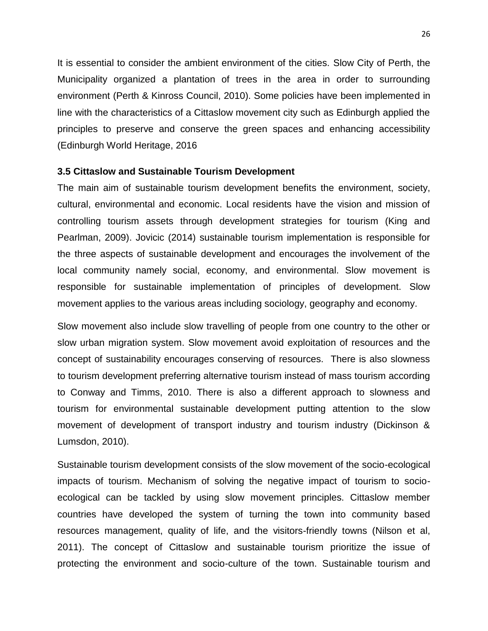It is essential to consider the ambient environment of the cities. Slow City of Perth, the Municipality organized a plantation of trees in the area in order to surrounding environment (Perth & Kinross Council, 2010). Some policies have been implemented in line with the characteristics of a Cittaslow movement city such as Edinburgh applied the principles to preserve and conserve the green spaces and enhancing accessibility (Edinburgh World Heritage, 2016

#### **3.5 Cittaslow and Sustainable Tourism Development**

The main aim of sustainable tourism development benefits the environment, society, cultural, environmental and economic. Local residents have the vision and mission of controlling tourism assets through development strategies for tourism (King and Pearlman, 2009). Jovicic (2014) sustainable tourism implementation is responsible for the three aspects of sustainable development and encourages the involvement of the local community namely social, economy, and environmental. Slow movement is responsible for sustainable implementation of principles of development. Slow movement applies to the various areas including sociology, geography and economy.

Slow movement also include slow travelling of people from one country to the other or slow urban migration system. Slow movement avoid exploitation of resources and the concept of sustainability encourages conserving of resources. There is also slowness to tourism development preferring alternative tourism instead of mass tourism according to Conway and Timms, 2010. There is also a different approach to slowness and tourism for environmental sustainable development putting attention to the slow movement of development of transport industry and tourism industry (Dickinson & Lumsdon, 2010).

Sustainable tourism development consists of the slow movement of the socio-ecological impacts of tourism. Mechanism of solving the negative impact of tourism to socioecological can be tackled by using slow movement principles. Cittaslow member countries have developed the system of turning the town into community based resources management, quality of life, and the visitors-friendly towns (Nilson et al, 2011). The concept of Cittaslow and sustainable tourism prioritize the issue of protecting the environment and socio-culture of the town. Sustainable tourism and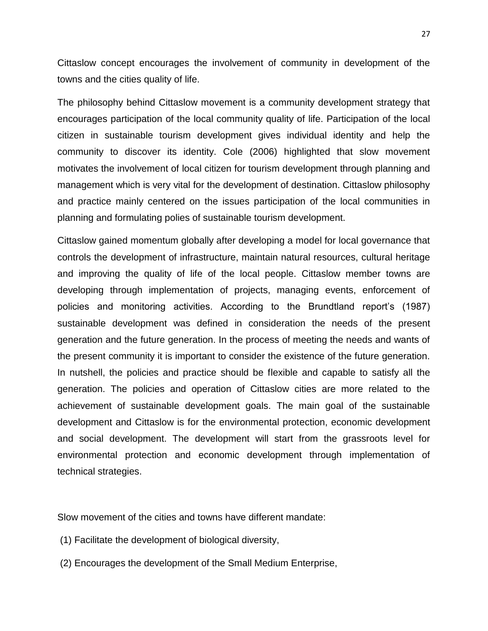Cittaslow concept encourages the involvement of community in development of the towns and the cities quality of life.

The philosophy behind Cittaslow movement is a community development strategy that encourages participation of the local community quality of life. Participation of the local citizen in sustainable tourism development gives individual identity and help the community to discover its identity. Cole (2006) highlighted that slow movement motivates the involvement of local citizen for tourism development through planning and management which is very vital for the development of destination. Cittaslow philosophy and practice mainly centered on the issues participation of the local communities in planning and formulating polies of sustainable tourism development.

Cittaslow gained momentum globally after developing a model for local governance that controls the development of infrastructure, maintain natural resources, cultural heritage and improving the quality of life of the local people. Cittaslow member towns are developing through implementation of projects, managing events, enforcement of policies and monitoring activities. According to the Brundtland report's (1987) sustainable development was defined in consideration the needs of the present generation and the future generation. In the process of meeting the needs and wants of the present community it is important to consider the existence of the future generation. In nutshell, the policies and practice should be flexible and capable to satisfy all the generation. The policies and operation of Cittaslow cities are more related to the achievement of sustainable development goals. The main goal of the sustainable development and Cittaslow is for the environmental protection, economic development and social development. The development will start from the grassroots level for environmental protection and economic development through implementation of technical strategies.

Slow movement of the cities and towns have different mandate:

- (1) Facilitate the development of biological diversity,
- (2) Encourages the development of the Small Medium Enterprise,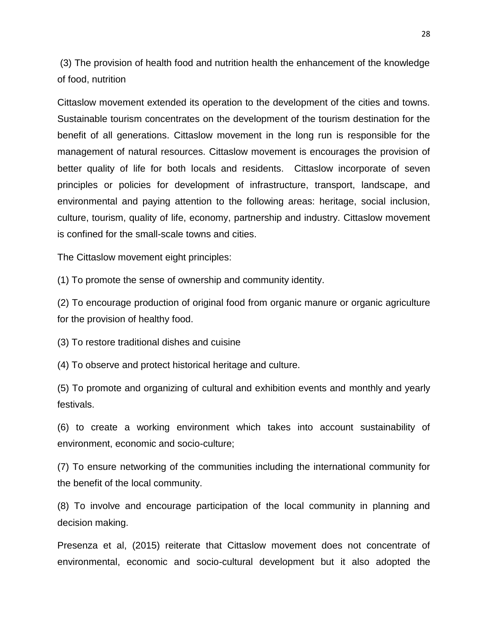(3) The provision of health food and nutrition health the enhancement of the knowledge of food, nutrition

Cittaslow movement extended its operation to the development of the cities and towns. Sustainable tourism concentrates on the development of the tourism destination for the benefit of all generations. Cittaslow movement in the long run is responsible for the management of natural resources. Cittaslow movement is encourages the provision of better quality of life for both locals and residents. Cittaslow incorporate of seven principles or policies for development of infrastructure, transport, landscape, and environmental and paying attention to the following areas: heritage, social inclusion, culture, tourism, quality of life, economy, partnership and industry. Cittaslow movement is confined for the small-scale towns and cities.

The Cittaslow movement eight principles:

(1) To promote the sense of ownership and community identity.

(2) To encourage production of original food from organic manure or organic agriculture for the provision of healthy food.

(3) To restore traditional dishes and cuisine

(4) To observe and protect historical heritage and culture.

(5) To promote and organizing of cultural and exhibition events and monthly and yearly festivals.

(6) to create a working environment which takes into account sustainability of environment, economic and socio-culture;

(7) To ensure networking of the communities including the international community for the benefit of the local community.

(8) To involve and encourage participation of the local community in planning and decision making.

Presenza et al, (2015) reiterate that Cittaslow movement does not concentrate of environmental, economic and socio-cultural development but it also adopted the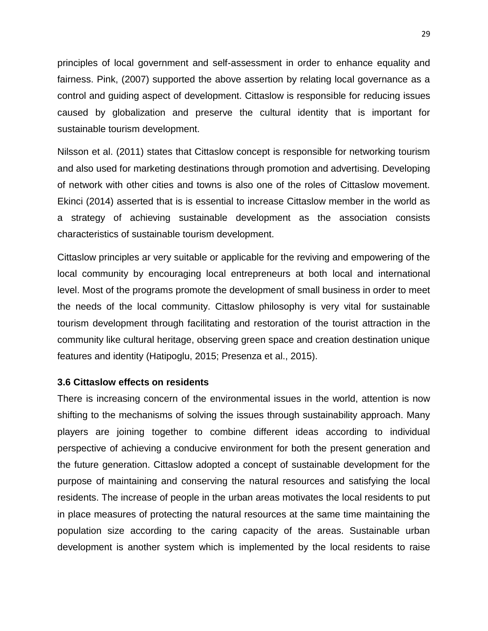principles of local government and self-assessment in order to enhance equality and fairness. Pink, (2007) supported the above assertion by relating local governance as a control and guiding aspect of development. Cittaslow is responsible for reducing issues caused by globalization and preserve the cultural identity that is important for sustainable tourism development.

Nilsson et al. (2011) states that Cittaslow concept is responsible for networking tourism and also used for marketing destinations through promotion and advertising. Developing of network with other cities and towns is also one of the roles of Cittaslow movement. Ekinci (2014) asserted that is is essential to increase Cittaslow member in the world as a strategy of achieving sustainable development as the association consists characteristics of sustainable tourism development.

Cittaslow principles ar very suitable or applicable for the reviving and empowering of the local community by encouraging local entrepreneurs at both local and international level. Most of the programs promote the development of small business in order to meet the needs of the local community. Cittaslow philosophy is very vital for sustainable tourism development through facilitating and restoration of the tourist attraction in the community like cultural heritage, observing green space and creation destination unique features and identity (Hatipoglu, 2015; Presenza et al., 2015).

#### **3.6 Cittaslow effects on residents**

There is increasing concern of the environmental issues in the world, attention is now shifting to the mechanisms of solving the issues through sustainability approach. Many players are joining together to combine different ideas according to individual perspective of achieving a conducive environment for both the present generation and the future generation. Cittaslow adopted a concept of sustainable development for the purpose of maintaining and conserving the natural resources and satisfying the local residents. The increase of people in the urban areas motivates the local residents to put in place measures of protecting the natural resources at the same time maintaining the population size according to the caring capacity of the areas. Sustainable urban development is another system which is implemented by the local residents to raise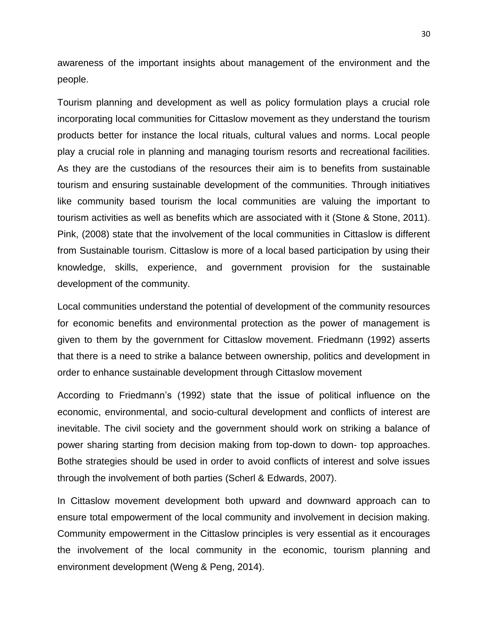awareness of the important insights about management of the environment and the people.

Tourism planning and development as well as policy formulation plays a crucial role incorporating local communities for Cittaslow movement as they understand the tourism products better for instance the local rituals, cultural values and norms. Local people play a crucial role in planning and managing tourism resorts and recreational facilities. As they are the custodians of the resources their aim is to benefits from sustainable tourism and ensuring sustainable development of the communities. Through initiatives like community based tourism the local communities are valuing the important to tourism activities as well as benefits which are associated with it (Stone & Stone, 2011). Pink, (2008) state that the involvement of the local communities in Cittaslow is different from Sustainable tourism. Cittaslow is more of a local based participation by using their knowledge, skills, experience, and government provision for the sustainable development of the community.

Local communities understand the potential of development of the community resources for economic benefits and environmental protection as the power of management is given to them by the government for Cittaslow movement. Friedmann (1992) asserts that there is a need to strike a balance between ownership, politics and development in order to enhance sustainable development through Cittaslow movement

According to Friedmann's (1992) state that the issue of political influence on the economic, environmental, and socio-cultural development and conflicts of interest are inevitable. The civil society and the government should work on striking a balance of power sharing starting from decision making from top-down to down- top approaches. Bothe strategies should be used in order to avoid conflicts of interest and solve issues through the involvement of both parties (Scherl & Edwards, 2007).

In Cittaslow movement development both upward and downward approach can to ensure total empowerment of the local community and involvement in decision making. Community empowerment in the Cittaslow principles is very essential as it encourages the involvement of the local community in the economic, tourism planning and environment development (Weng & Peng, 2014).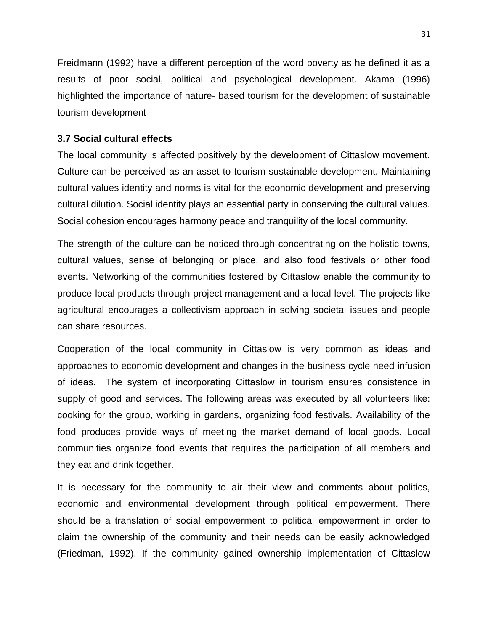Freidmann (1992) have a different perception of the word poverty as he defined it as a results of poor social, political and psychological development. Akama (1996) highlighted the importance of nature- based tourism for the development of sustainable tourism development

#### **3.7 Social cultural effects**

The local community is affected positively by the development of Cittaslow movement. Culture can be perceived as an asset to tourism sustainable development. Maintaining cultural values identity and norms is vital for the economic development and preserving cultural dilution. Social identity plays an essential party in conserving the cultural values. Social cohesion encourages harmony peace and tranquility of the local community.

The strength of the culture can be noticed through concentrating on the holistic towns, cultural values, sense of belonging or place, and also food festivals or other food events. Networking of the communities fostered by Cittaslow enable the community to produce local products through project management and a local level. The projects like agricultural encourages a collectivism approach in solving societal issues and people can share resources.

Cooperation of the local community in Cittaslow is very common as ideas and approaches to economic development and changes in the business cycle need infusion of ideas. The system of incorporating Cittaslow in tourism ensures consistence in supply of good and services. The following areas was executed by all volunteers like: cooking for the group, working in gardens, organizing food festivals. Availability of the food produces provide ways of meeting the market demand of local goods. Local communities organize food events that requires the participation of all members and they eat and drink together.

It is necessary for the community to air their view and comments about politics, economic and environmental development through political empowerment. There should be a translation of social empowerment to political empowerment in order to claim the ownership of the community and their needs can be easily acknowledged (Friedman, 1992). If the community gained ownership implementation of Cittaslow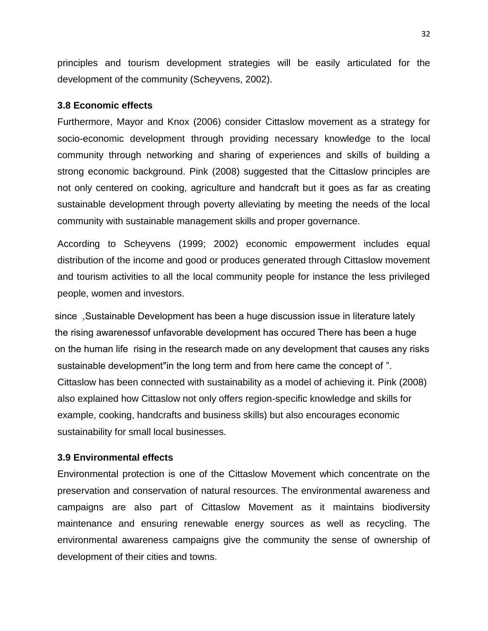principles and tourism development strategies will be easily articulated for the development of the community (Scheyvens, 2002).

#### **3.8 Economic effects**

Furthermore, Mayor and Knox (2006) consider Cittaslow movement as a strategy for socio-economic development through providing necessary knowledge to the local community through networking and sharing of experiences and skills of building a strong economic background. Pink (2008) suggested that the Cittaslow principles are not only centered on cooking, agriculture and handcraft but it goes as far as creating sustainable development through poverty alleviating by meeting the needs of the local community with sustainable management skills and proper governance.

According to Scheyvens (1999; 2002) economic empowerment includes equal distribution of the income and good or produces generated through Cittaslow movement and tourism activities to all the local community people for instance the less privileged people, women and investors.

since, Sustainable Development has been a huge discussion issue in literature lately the rising awarenessof unfavorable development has occured There has been a huge on the human life rising in the research made on any development that causes any risks sustainable development" in the long term and from here came the concept of ". Cittaslow has been connected with sustainability as a model of achieving it. Pink (2008) also explained how Cittaslow not only offers region-specific knowledge and skills for example, cooking, handcrafts and business skills) but also encourages economic sustainability for small local businesses.

### **3.9 Environmental effects**

Environmental protection is one of the Cittaslow Movement which concentrate on the preservation and conservation of natural resources. The environmental awareness and campaigns are also part of Cittaslow Movement as it maintains biodiversity maintenance and ensuring renewable energy sources as well as recycling. The environmental awareness campaigns give the community the sense of ownership of development of their cities and towns.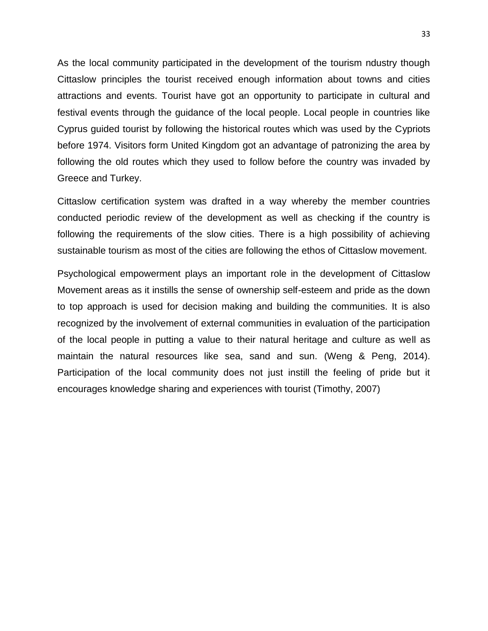As the local community participated in the development of the tourism ndustry though Cittaslow principles the tourist received enough information about towns and cities attractions and events. Tourist have got an opportunity to participate in cultural and festival events through the guidance of the local people. Local people in countries like Cyprus guided tourist by following the historical routes which was used by the Cypriots before 1974. Visitors form United Kingdom got an advantage of patronizing the area by following the old routes which they used to follow before the country was invaded by Greece and Turkey.

Cittaslow certification system was drafted in a way whereby the member countries conducted periodic review of the development as well as checking if the country is following the requirements of the slow cities. There is a high possibility of achieving sustainable tourism as most of the cities are following the ethos of Cittaslow movement.

Psychological empowerment plays an important role in the development of Cittaslow Movement areas as it instills the sense of ownership self-esteem and pride as the down to top approach is used for decision making and building the communities. It is also recognized by the involvement of external communities in evaluation of the participation of the local people in putting a value to their natural heritage and culture as well as maintain the natural resources like sea, sand and sun. (Weng & Peng, 2014). Participation of the local community does not just instill the feeling of pride but it encourages knowledge sharing and experiences with tourist (Timothy, 2007)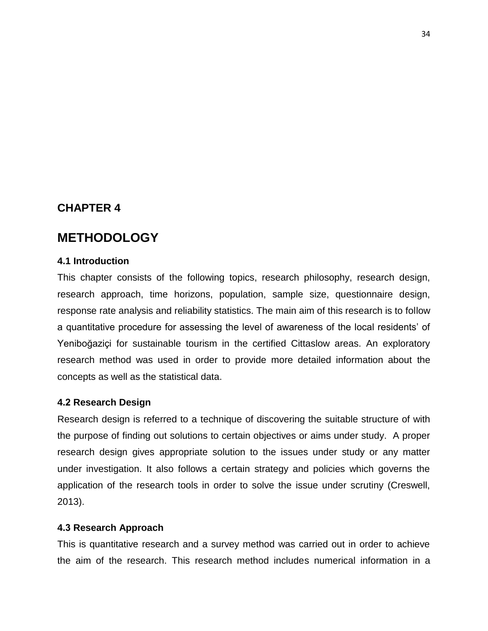# **CHAPTER 4**

# **METHODOLOGY**

#### **4.1 Introduction**

This chapter consists of the following topics, research philosophy, research design, research approach, time horizons, population, sample size, questionnaire design, response rate analysis and reliability statistics. The main aim of this research is to follow a quantitative procedure for assessing the level of awareness of the local residents' of Yeniboğaziçi for sustainable tourism in the certified Cittaslow areas. An exploratory research method was used in order to provide more detailed information about the concepts as well as the statistical data.

#### **4.2 Research Design**

Research design is referred to a technique of discovering the suitable structure of with the purpose of finding out solutions to certain objectives or aims under study. A proper research design gives appropriate solution to the issues under study or any matter under investigation. It also follows a certain strategy and policies which governs the application of the research tools in order to solve the issue under scrutiny (Creswell, 2013).

#### **4.3 Research Approach**

This is quantitative research and a survey method was carried out in order to achieve the aim of the research. This research method includes numerical information in a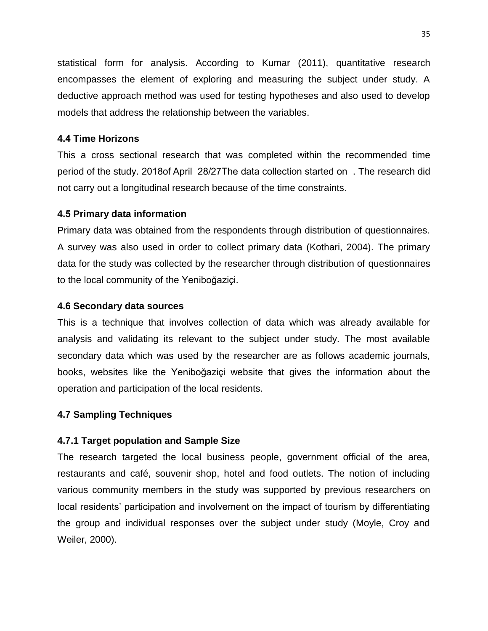statistical form for analysis. According to Kumar (2011), quantitative research encompasses the element of exploring and measuring the subject under study. A deductive approach method was used for testing hypotheses and also used to develop models that address the relationship between the variables.

### **4.1 Time Horizons**

This a cross sectional research that was completed within the recommended time period of the study. 2018 of April 28/27 The data collection started on. The research did not carry out a longitudinal research because of the time constraints.

### **4.5 Primary data information**

Primary data was obtained from the respondents through distribution of questionnaires. A survey was also used in order to collect primary data (Kothari, 2004). The primary data for the study was collected by the researcher through distribution of questionnaires to the local community of the Yeniboğaziçi.

### **4.6 Secondary data sources**

This is a technique that involves collection of data which was already available for analysis and validating its relevant to the subject under study. The most available secondary data which was used by the researcher are as follows academic journals, books, websites like the Yeniboğaziçi website that gives the information about the operation and participation of the local residents.

# **4.7 Sampling Techniques**

# **4.7.1 Target population and Sample Size**

The research targeted the local business people, government official of the area, restaurants and café, souvenir shop, hotel and food outlets. The notion of including various community members in the study was supported by previous researchers on local residents' participation and involvement on the impact of tourism by differentiating the group and individual responses over the subject under study (Moyle, Croy and Weiler, 2000).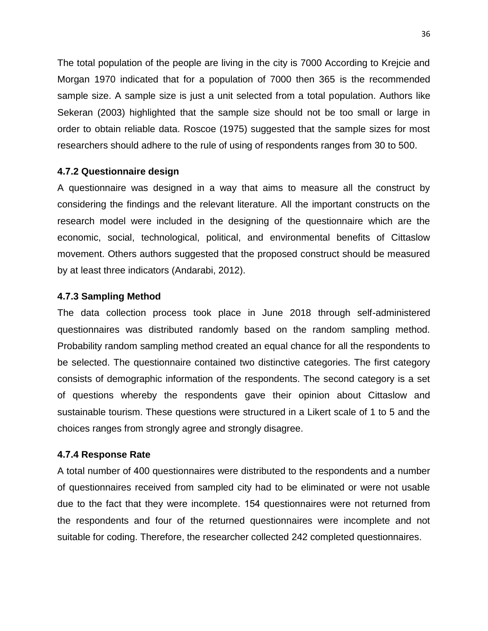The total population of the people are living in the city is 7000 According to Krejcie and Morgan 1970 indicated that for a population of 7000 then 365 is the recommended sample size. A sample size is just a unit selected from a total population. Authors like Sekeran (2003) highlighted that the sample size should not be too small or large in order to obtain reliable data. Roscoe (1975) suggested that the sample sizes for most researchers should adhere to the rule of using of respondents ranges from 30 to 500.

#### **4.7.2 Questionnaire design**

A questionnaire was designed in a way that aims to measure all the construct by considering the findings and the relevant literature. All the important constructs on the research model were included in the designing of the questionnaire which are the economic, social, technological, political, and environmental benefits of Cittaslow movement. Others authors suggested that the proposed construct should be measured by at least three indicators (Andarabi, 2012).

#### **4.7.3 Sampling Method**

The data collection process took place in June 2018 through self-administered questionnaires was distributed randomly based on the random sampling method. Probability random sampling method created an equal chance for all the respondents to be selected. The questionnaire contained two distinctive categories. The first category consists of demographic information of the respondents. The second category is a set of questions whereby the respondents gave their opinion about Cittaslow and sustainable tourism. These questions were structured in a Likert scale of 1 to 5 and the choices ranges from strongly agree and strongly disagree.

#### **4.7.4 Response Rate**

A total number of 400 questionnaires were distributed to the respondents and a number of questionnaires received from sampled city had to be eliminated or were not usable due to the fact that they were incomplete. 154 questionnaires were not returned from the respondents and four of the returned questionnaires were incomplete and not suitable for coding. Therefore, the researcher collected 242 completed questionnaires.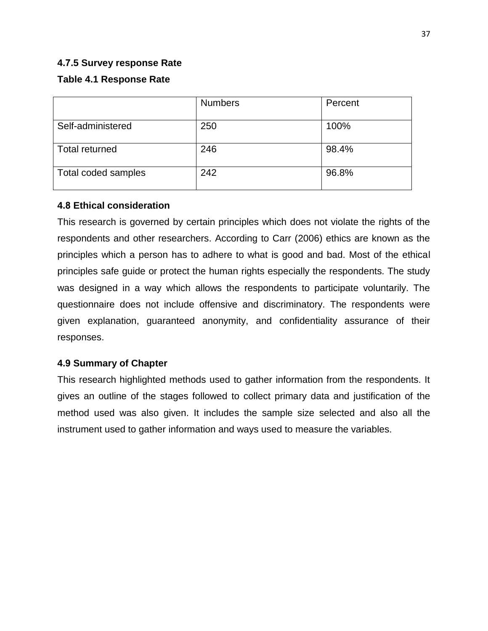### **4.7.5 Survey response Rate**

# **Table 4.1 Response Rate**

|                       | <b>Numbers</b> | Percent |
|-----------------------|----------------|---------|
| Self-administered     | 250            | 100%    |
| <b>Total returned</b> | 246            | 98.4%   |
| Total coded samples   | 242            | 96.8%   |

### **4.8 Ethical consideration**

This research is governed by certain principles which does not violate the rights of the respondents and other researchers. According to Carr (2006) ethics are known as the principles which a person has to adhere to what is good and bad. Most of the ethical principles safe guide or protect the human rights especially the respondents. The study was designed in a way which allows the respondents to participate voluntarily. The questionnaire does not include offensive and discriminatory. The respondents were given explanation, guaranteed anonymity, and confidentiality assurance of their responses.

# **4.9 Summary of Chapter**

This research highlighted methods used to gather information from the respondents. It gives an outline of the stages followed to collect primary data and justification of the method used was also given. It includes the sample size selected and also all the instrument used to gather information and ways used to measure the variables.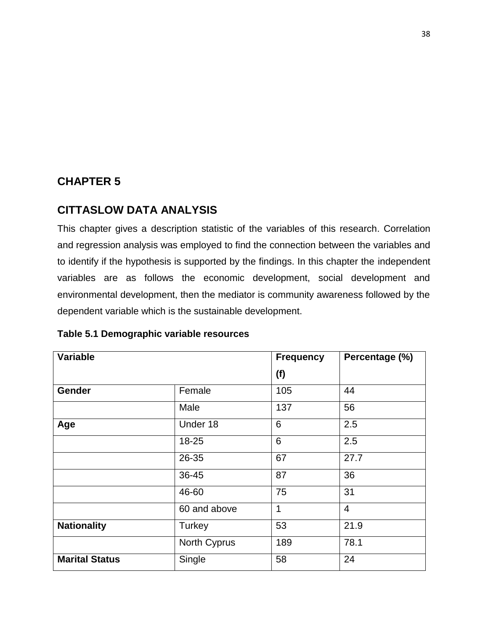# **CHAPTER 5**

# **CITTASLOW DATA ANALYSIS**

This chapter gives a description statistic of the variables of this research. Correlation and regression analysis was employed to find the connection between the variables and to identify if the hypothesis is supported by the findings. In this chapter the independent variables are as follows the economic development, social development and environmental development, then the mediator is community awareness followed by the dependent variable which is the sustainable development.

| <b>Variable</b>       |               | <b>Frequency</b> | Percentage (%) |
|-----------------------|---------------|------------------|----------------|
|                       |               | (f)              |                |
| <b>Gender</b>         | Female        | 105              | 44             |
|                       | Male          | 137              | 56             |
| Age                   | Under 18      | 6                | 2.5            |
|                       | 18-25         | 6                | 2.5            |
|                       | 26-35         | 67               | 27.7           |
|                       | 36-45         | 87               | 36             |
|                       | 46-60         | 75               | 31             |
|                       | 60 and above  | 1                | $\overline{4}$ |
| <b>Nationality</b>    | <b>Turkey</b> | 53               | 21.9           |
|                       | North Cyprus  | 189              | 78.1           |
| <b>Marital Status</b> | Single        | 58               | 24             |

### **Table 5.1 Demographic variable resources**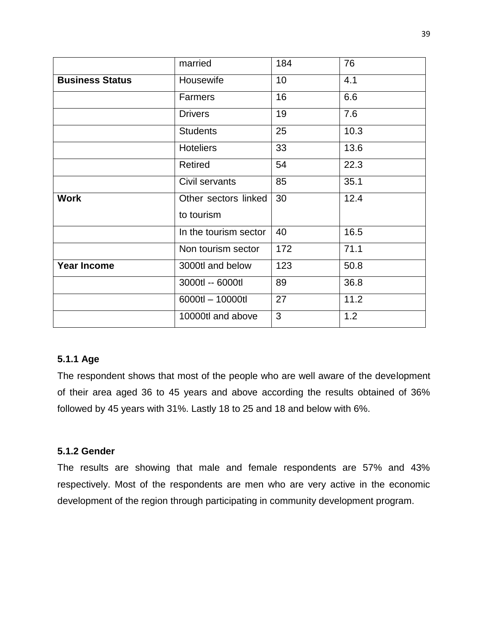|                                     | married               | 184 | 76   |
|-------------------------------------|-----------------------|-----|------|
| Housewife<br><b>Business Status</b> |                       | 10  | 4.1  |
|                                     | Farmers               | 16  | 6.6  |
|                                     | <b>Drivers</b>        | 19  | 7.6  |
|                                     | <b>Students</b>       | 25  | 10.3 |
|                                     | <b>Hoteliers</b>      | 33  | 13.6 |
|                                     | <b>Retired</b>        | 54  | 22.3 |
|                                     | Civil servants        | 85  | 35.1 |
| <b>Work</b>                         | Other sectors linked  | 30  | 12.4 |
|                                     | to tourism            |     |      |
|                                     | In the tourism sector | 40  | 16.5 |
|                                     | Non tourism sector    | 172 | 71.1 |
| <b>Year Income</b>                  | 3000tl and below      | 123 | 50.8 |
|                                     | 3000tl -- 6000tl      | 89  | 36.8 |
|                                     | 6000tl - 10000tl      | 27  | 11.2 |
|                                     | 10000tl and above     | 3   | 1.2  |

### **5.1.1 Age**

The respondent shows that most of the people who are well aware of the development of their area aged 36 to 45 years and above according the results obtained of 36% followed by 45 years with 31%. Lastly 18 to 25 and 18 and below with 6%.

### **5.1.2 Gender**

The results are showing that male and female respondents are 57% and 43% respectively. Most of the respondents are men who are very active in the economic development of the region through participating in community development program.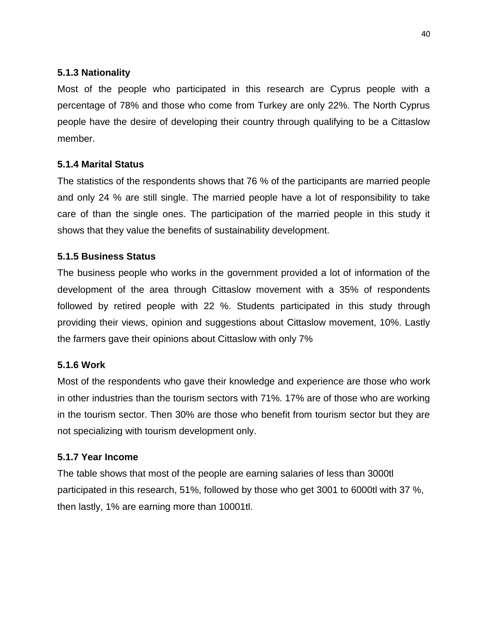# **5.1.3 Nationality**

Most of the people who participated in this research are Cyprus people with a percentage of 78% and those who come from Turkey are only 22%. The North Cyprus people have the desire of developing their country through qualifying to be a Cittaslow member.

# **5.1.4 Marital Status**

The statistics of the respondents shows that 76 % of the participants are married people and only 24 % are still single. The married people have a lot of responsibility to take care of than the single ones. The participation of the married people in this study it shows that they value the benefits of sustainability development.

### **5.1.5 Business Status**

The business people who works in the government provided a lot of information of the development of the area through Cittaslow movement with a 35% of respondents followed by retired people with 22 %. Students participated in this study through providing their views, opinion and suggestions about Cittaslow movement, 10%. Lastly the farmers gave their opinions about Cittaslow with only 7%

### **5.1.6 Work**

Most of the respondents who gave their knowledge and experience are those who work in other industries than the tourism sectors with 71%. 17% are of those who are working in the tourism sector. Then 30% are those who benefit from tourism sector but they are not specializing with tourism development only.

### **5.1.7 Year Income**

The table shows that most of the people are earning salaries of less than 3000tl participated in this research, 51%, followed by those who get 3001 to 6000tl with 37 %, then lastly, 1% are earning more than 10001tl.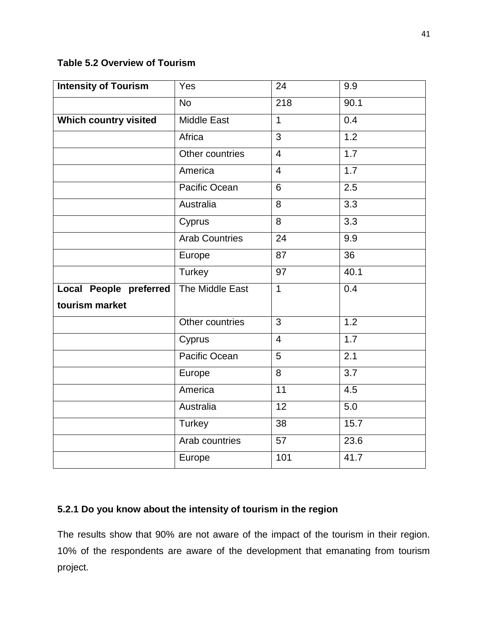### **Table 5.2 Overview of Tourism**

| <b>Intensity of Tourism</b>   | Yes                   | 24               | 9.9              |
|-------------------------------|-----------------------|------------------|------------------|
|                               | <b>No</b>             | $\overline{218}$ | 90.1             |
| <b>Which country visited</b>  | <b>Middle East</b>    | $\mathbf{1}$     | 0.4              |
|                               | Africa                | 3                | 1.2              |
|                               | Other countries       | $\overline{4}$   | 1.7              |
|                               | America               | $\overline{4}$   | 1.7              |
|                               | Pacific Ocean         | 6                | 2.5              |
|                               | Australia             | 8                | $\overline{3.3}$ |
|                               | Cyprus                | 8                | 3.3              |
|                               | <b>Arab Countries</b> | $\overline{24}$  | 9.9              |
|                               | Europe                | 87               | $\overline{36}$  |
|                               | Turkey                | $\overline{97}$  | 40.1             |
| <b>Local People preferred</b> | The Middle East       | $\overline{1}$   | 0.4              |
| tourism market                |                       |                  |                  |
|                               | Other countries       | 3                | 1.2              |
|                               | Cyprus                | $\overline{4}$   | 1.7              |
|                               | Pacific Ocean         | 5                | 2.1              |
|                               | Europe                | 8                | $\overline{3.7}$ |
|                               | America               | $\overline{11}$  | 4.5              |
|                               | Australia             | 12               | 5.0              |
|                               | <b>Turkey</b>         | 38               | 15.7             |
|                               | Arab countries        | 57               | 23.6             |
|                               | Europe                | 101              | 41.7             |

# **5.2.1 Do you know about the intensity of tourism in the region**

The results show that 90% are not aware of the impact of the tourism in their region. 10% of the respondents are aware of the development that emanating from tourism project.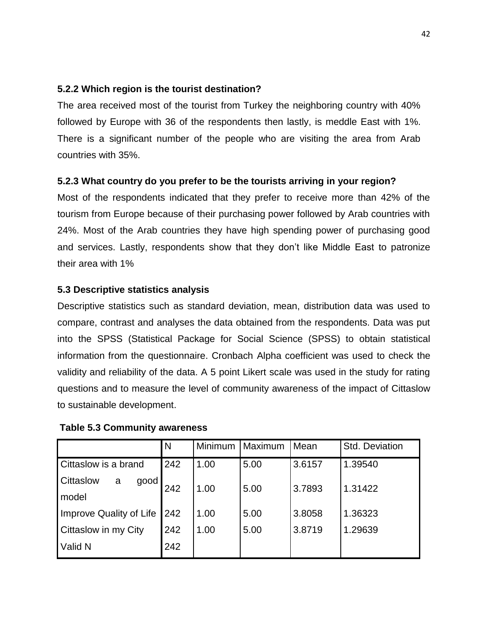### **5.2.2 Which region is the tourist destination?**

The area received most of the tourist from Turkey the neighboring country with 40% followed by Europe with 36 of the respondents then lastly, is meddle East with 1%. There is a significant number of the people who are visiting the area from Arab countries with 35%.

# **5.2.3 What country do you prefer to be the tourists arriving in your region?**

Most of the respondents indicated that they prefer to receive more than 42% of the tourism from Europe because of their purchasing power followed by Arab countries with 24%. Most of the Arab countries they have high spending power of purchasing good and services. Lastly, respondents show that they don't like Middle East to patronize their area with 1%

### **5.3 Descriptive statistics analysis**

Descriptive statistics such as standard deviation, mean, distribution data was used to compare, contrast and analyses the data obtained from the respondents. Data was put into the SPSS (Statistical Package for Social Science (SPSS) to obtain statistical information from the questionnaire. Cronbach Alpha coefficient was used to check the validity and reliability of the data. A 5 point Likert scale was used in the study for rating questions and to measure the level of community awareness of the impact of Cittaslow to sustainable development.

|                                        | N   | Minimum | Maximum | Mean   | Std. Deviation |
|----------------------------------------|-----|---------|---------|--------|----------------|
| Cittaslow is a brand                   | 242 | 1.00    | 5.00    | 3.6157 | 1.39540        |
| <b>Cittaslow</b><br>good<br>a<br>model | 242 | 1.00    | 5.00    | 3.7893 | 1.31422        |
| Improve Quality of Life                | 242 | 1.00    | 5.00    | 3.8058 | 1.36323        |
| <b>Cittaslow in my City</b>            | 242 | 1.00    | 5.00    | 3.8719 | 1.29639        |
| Valid N                                | 242 |         |         |        |                |

#### **Table 5.3 Community awareness**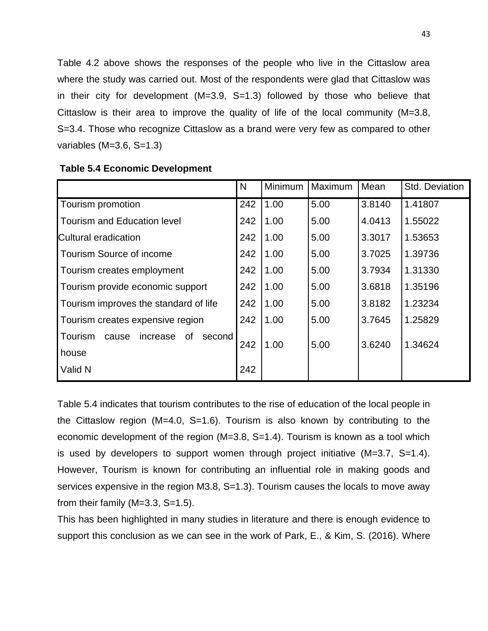Table 4.2 above shows the responses of the people who live in the Cittaslow area where the study was carried out. Most of the respondents were glad that Cittaslow was in their city for development (M=3.9, S=1.3) followed by those who believe that Cittaslow is their area to improve the quality of life of the local community (M=3.8, S=3.4. Those who recognize Cittaslow as a brand were very few as compared to other variables  $(M=3.6, S=1.3)$ 

|                                              | N   | Minimum | Maximum | Mean   | Std. Deviation |
|----------------------------------------------|-----|---------|---------|--------|----------------|
| Tourism promotion                            | 242 | 1.00    | 5.00    | 3.8140 | 1.41807        |
| Tourism and Education level                  | 242 | 1.00    | 5.00    | 4.0413 | 1.55022        |
| Cultural eradication                         | 242 | 1.00    | 5.00    | 3.3017 | 1.53653        |
| Tourism Source of income                     | 242 | 1.00    | 5.00    | 3.7025 | 1.39736        |
| Tourism creates employment                   | 242 | 1.00    | 5.00    | 3.7934 | 1.31330        |
| Tourism provide economic support             | 242 | 1.00    | 5.00    | 3.6818 | 1.35196        |
| Tourism improves the standard of life        |     | 1.00    | 5.00    | 3.8182 | 1.23234        |
| Tourism creates expensive region             |     | 1.00    | 5.00    | 3.7645 | 1.25829        |
| Tourism<br>cause<br>increase<br>of<br>second | 242 | 1.00    | 5.00    | 3.6240 | 1.34624        |
| house                                        |     |         |         |        |                |
| Valid N                                      | 242 |         |         |        |                |

#### **Table 5.4 Economic Development**

Table 5.4 indicates that tourism contributes to the rise of education of the local people in the Cittaslow region (M=4.0, S=1.6). Tourism is also known by contributing to the economic development of the region (M=3.8, S=1.4). Tourism is known as a tool which is used by developers to support women through project initiative (M=3.7, S=1.4). However, Tourism is known for contributing an influential role in making goods and services expensive in the region M3.8, S=1.3). Tourism causes the locals to move away from their family  $(M=3.3, S=1.5)$ .

This has been highlighted in many studies in literature and there is enough evidence to support this conclusion as we can see in the work of Park, E., & Kim, S. (2016). Where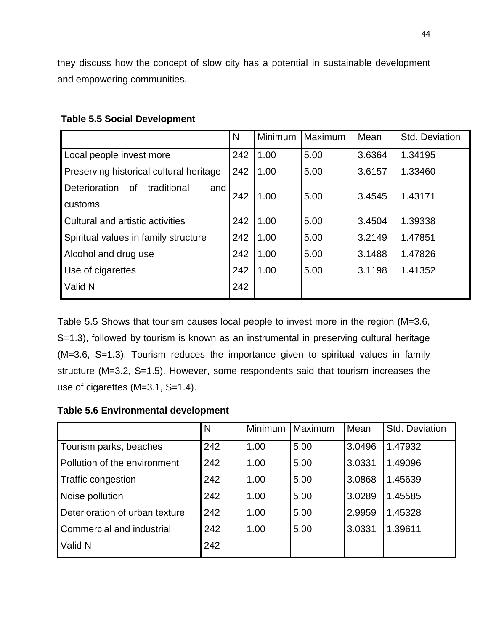they discuss how the concept of slow city has a potential in sustainable development and empowering communities.

|                                                  | N   | Minimum | Maximum | Mean   | Std. Deviation |
|--------------------------------------------------|-----|---------|---------|--------|----------------|
| Local people invest more                         | 242 | 1.00    | 5.00    | 3.6364 | 1.34195        |
| Preserving historical cultural heritage          | 242 | 1.00    | 5.00    | 3.6157 | 1.33460        |
| <b>Deterioration</b><br>traditional<br>0f<br>and |     | 1.00    | 5.00    | 3.4545 | 1.43171        |
| customs                                          |     |         |         |        |                |
| Cultural and artistic activities                 | 242 | 1.00    | 5.00    | 3.4504 | 1.39338        |
| Spiritual values in family structure             | 242 | 1.00    | 5.00    | 3.2149 | 1.47851        |
| Alcohol and drug use                             |     | 1.00    | 5.00    | 3.1488 | 1.47826        |
| Use of cigarettes                                | 242 | 1.00    | 5.00    | 3.1198 | 1.41352        |
| Valid N                                          | 242 |         |         |        |                |

### **Table 5.5 Social Development**

Table 5.5 Shows that tourism causes local people to invest more in the region (M=3.6, S=1.3), followed by tourism is known as an instrumental in preserving cultural heritage (M=3.6, S=1.3). Tourism reduces the importance given to spiritual values in family structure (M=3.2, S=1.5). However, some respondents said that tourism increases the use of cigarettes (M=3.1, S=1.4).

**Table 5.6 Environmental development**

|                                | IN. | <b>Minimum</b> | Maximum | Mean   | Std. Deviation |
|--------------------------------|-----|----------------|---------|--------|----------------|
| Tourism parks, beaches         | 242 | 1.00           | 5.00    | 3.0496 | 1.47932        |
| Pollution of the environment   | 242 | 1.00           | 5.00    | 3.0331 | 1.49096        |
| <b>Traffic congestion</b>      | 242 | 1.00           | 5.00    | 3.0868 | 1.45639        |
| Noise pollution                | 242 | 1.00           | 5.00    | 3.0289 | 1.45585        |
| Deterioration of urban texture | 242 | 1.00           | 5.00    | 2.9959 | 1.45328        |
| Commercial and industrial      | 242 | 1.00           | 5.00    | 3.0331 | 1.39611        |
| Valid N                        | 242 |                |         |        |                |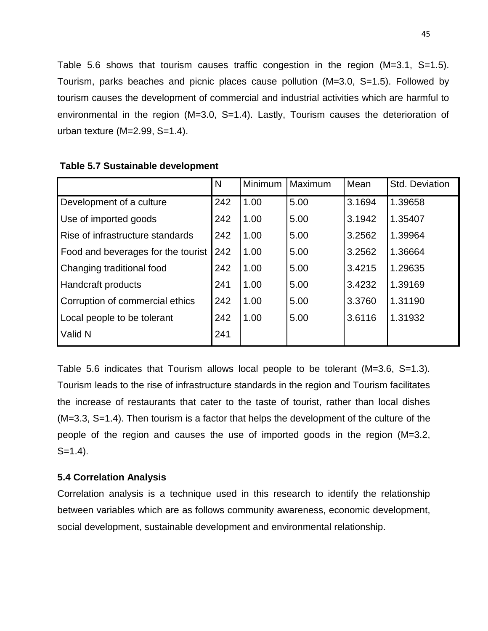Table 5.6 shows that tourism causes traffic congestion in the region (M=3.1, S=1.5). Tourism, parks beaches and picnic places cause pollution (M=3.0, S=1.5). Followed by tourism causes the development of commercial and industrial activities which are harmful to environmental in the region (M=3.0, S=1.4). Lastly, Tourism causes the deterioration of urban texture (M=2.99, S=1.4).

|                                    | N   | <b>Minimum</b> | Maximum | Mean   | Std. Deviation |
|------------------------------------|-----|----------------|---------|--------|----------------|
| Development of a culture           | 242 | 1.00           | 5.00    | 3.1694 | 1.39658        |
| Use of imported goods              | 242 | 1.00           | 5.00    | 3.1942 | 1.35407        |
| Rise of infrastructure standards   | 242 | 1.00           | 5.00    | 3.2562 | 1.39964        |
| Food and beverages for the tourist | 242 | 1.00           | 5.00    | 3.2562 | 1.36664        |
| Changing traditional food          | 242 | 1.00           | 5.00    | 3.4215 | 1.29635        |
| <b>Handcraft products</b>          | 241 | 1.00           | 5.00    | 3.4232 | 1.39169        |
| Corruption of commercial ethics    | 242 | 1.00           | 5.00    | 3.3760 | 1.31190        |
| Local people to be tolerant        | 242 | 1.00           | 5.00    | 3.6116 | 1.31932        |
| Valid N                            | 241 |                |         |        |                |

#### **Table 5.7 Sustainable development**

Table 5.6 indicates that Tourism allows local people to be tolerant (M=3.6, S=1.3). Tourism leads to the rise of infrastructure standards in the region and Tourism facilitates the increase of restaurants that cater to the taste of tourist, rather than local dishes (M=3.3, S=1.4). Then tourism is a factor that helps the development of the culture of the people of the region and causes the use of imported goods in the region (M=3.2,  $S=1.4$ ).

#### **5.4 Correlation Analysis**

Correlation analysis is a technique used in this research to identify the relationship between variables which are as follows community awareness, economic development, social development, sustainable development and environmental relationship.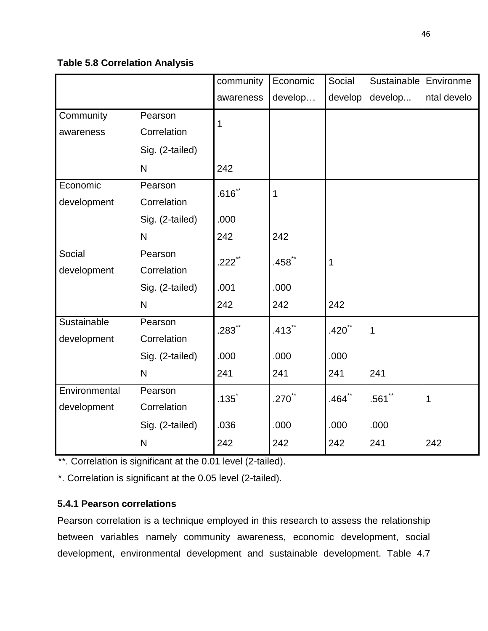# **Table 5.8 Correlation Analysis**

|               |                 | community | Economic  | Social               | Sustainable | Environme   |
|---------------|-----------------|-----------|-----------|----------------------|-------------|-------------|
|               |                 | awareness | develop   | develop              | develop     | ntal develo |
| Community     | Pearson         | 1         |           |                      |             |             |
| awareness     | Correlation     |           |           |                      |             |             |
|               | Sig. (2-tailed) |           |           |                      |             |             |
|               | $\mathsf{N}$    | 242       |           |                      |             |             |
| Economic      | Pearson         | $.616$ ** | 1         |                      |             |             |
| development   | Correlation     |           |           |                      |             |             |
|               | Sig. (2-tailed) | .000      |           |                      |             |             |
|               | $\mathsf{N}$    | 242       | 242       |                      |             |             |
| Social        | Pearson         | $.222$ ** | $.458$ ** | 1                    |             |             |
| development   | Correlation     |           |           |                      |             |             |
|               | Sig. (2-tailed) | .001      | .000      |                      |             |             |
|               | N               | 242       | 242       | 242                  |             |             |
| Sustainable   | Pearson         | $.283$ ** | $.413$ ** | $.420$ <sup>**</sup> | 1           |             |
| development   | Correlation     |           |           |                      |             |             |
|               | Sig. (2-tailed) | .000      | .000      | .000                 |             |             |
|               | $\mathsf{N}$    | 241       | 241       | 241                  | 241         |             |
| Environmental | Pearson         | $.135*$   | $.270$ ** | $.464$ **            | $.561$ **   | $\mathbf 1$ |
| development   | Correlation     |           |           |                      |             |             |
|               | Sig. (2-tailed) | .036      | .000      | .000                 | .000        |             |
|               | N               | 242       | 242       | 242                  | 241         | 242         |

\*\*. Correlation is significant at the 0.01 level (2-tailed).

\*. Correlation is significant at the 0.05 level (2-tailed).

# **5.4.1 Pearson correlations**

Pearson correlation is a technique employed in this research to assess the relationship between variables namely community awareness, economic development, social development, environmental development and sustainable development. Table 4.7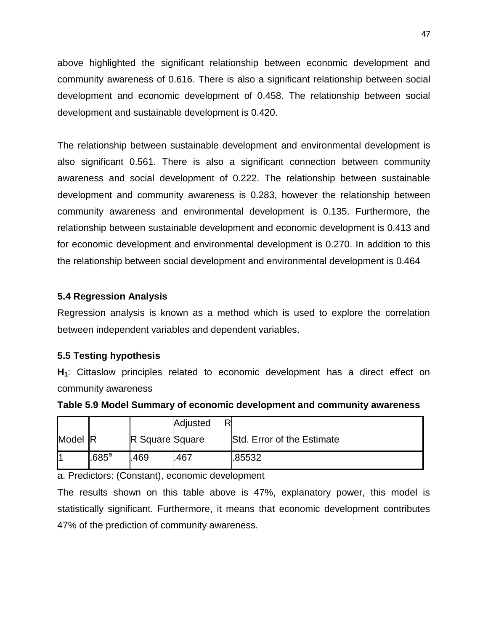above highlighted the significant relationship between economic development and community awareness of 0.616. There is also a significant relationship between social development and economic development of 0.458. The relationship between social development and sustainable development is 0.420.

The relationship between sustainable development and environmental development is also significant 0.561. There is also a significant connection between community awareness and social development of 0.222. The relationship between sustainable development and community awareness is 0.283, however the relationship between community awareness and environmental development is 0.135. Furthermore, the relationship between sustainable development and economic development is 0.413 and for economic development and environmental development is 0.270. In addition to this the relationship between social development and environmental development is 0.464

### **5.4 Regression Analysis**

Regression analysis is known as a method which is used to explore the correlation between independent variables and dependent variables.

### **5.5 Testing hypothesis**

**H1**: Cittaslow principles related to economic development has a direct effect on community awareness

|         |                 |                        | Adjusted |                            |
|---------|-----------------|------------------------|----------|----------------------------|
| Model R |                 | <b>R</b> Square Square |          | Std. Error of the Estimate |
|         | .685 $^{\rm a}$ | 469                    | .467     | .85532                     |

**Table 5.9 Model Summary of economic development and community awareness** 

a. Predictors: (Constant), economic development

The results shown on this table above is 47%, explanatory power, this model is statistically significant. Furthermore, it means that economic development contributes 47% of the prediction of community awareness.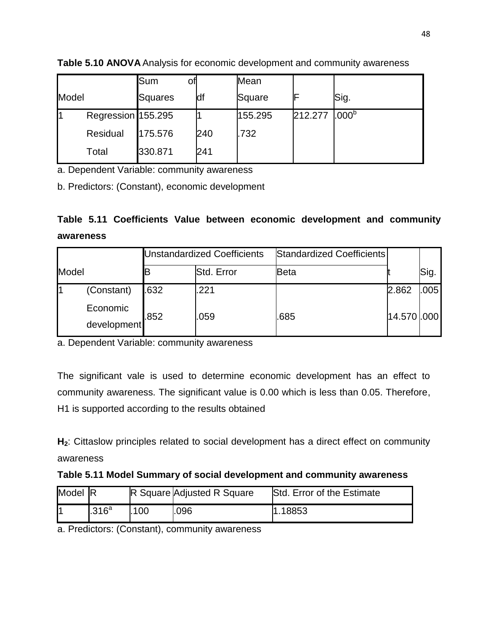|       |                    | Sum<br>Οt |     | Mean    |         |                   |
|-------|--------------------|-----------|-----|---------|---------|-------------------|
| Model |                    | Squares   | df  | Square  |         | Sig.              |
| ł1    | Regression 155.295 |           |     | 155.295 | 212.277 | .000 <sup>b</sup> |
|       | Residual           | 175.576   | 240 | .732    |         |                   |
|       | Total              | 330.871   | 241 |         |         |                   |

**Table 5.10 ANOVA** Analysis for economic development and community awareness

a. Dependent Variable: community awareness

b. Predictors: (Constant), economic development

|           |  |  | Table 5.11 Coefficients Value between economic development and community |  |
|-----------|--|--|--------------------------------------------------------------------------|--|
| awareness |  |  |                                                                          |  |

|       |                         | <b>Unstandardized Coefficients</b> |            | Standardized Coefficients |             |      |
|-------|-------------------------|------------------------------------|------------|---------------------------|-------------|------|
| Model |                         |                                    | Std. Error | Beta                      |             | Sig. |
|       | (Constant)              | .632                               | .221       |                           | 2.862       | .005 |
|       | Economic<br>development | .852                               | .059       | .685                      | 14.570 .000 |      |

a. Dependent Variable: community awareness

The significant vale is used to determine economic development has an effect to community awareness. The significant value is 0.00 which is less than 0.05. Therefore, H1 is supported according to the results obtained

**H2**: Cittaslow principles related to social development has a direct effect on community awareness

# **Table 5.11 Model Summary of social development and community awareness**

| Model R |                      |      | R Square Adjusted R Square | <b>Std. Error of the Estimate</b> |
|---------|----------------------|------|----------------------------|-----------------------------------|
|         | $1.316^{\mathrm{a}}$ | .100 | 096                        | 1.18853                           |

a. Predictors: (Constant), community awareness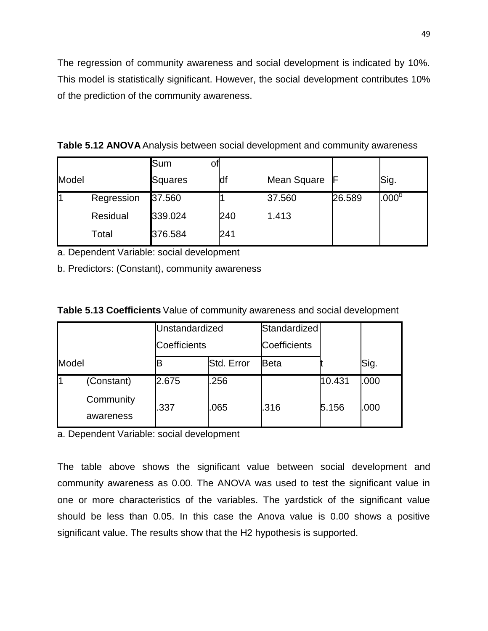The regression of community awareness and social development is indicated by 10%. This model is statistically significant. However, the social development contributes 10% of the prediction of the community awareness.

**Table 5.12 ANOVA** Analysis between social development and community awareness

|       |            | Sum<br>ΟΙ |     |             |        |                   |
|-------|------------|-----------|-----|-------------|--------|-------------------|
| Model |            | Squares   | ldf | Mean Square | -lF    | Sig.              |
|       | Regression | 37.560    |     | 37.560      | 26.589 | .000 <sup>b</sup> |
|       | Residual   | 339.024   | 240 | 1.413       |        |                   |
|       | Total      | 376.584   | 241 |             |        |                   |

a. Dependent Variable: social development

b. Predictors: (Constant), community awareness

| Table 5.13 Coefficients Value of community awareness and social development |
|-----------------------------------------------------------------------------|
|-----------------------------------------------------------------------------|

|       |            | Unstandardized<br><b>Coefficients</b> |            | Standardized        |        |      |
|-------|------------|---------------------------------------|------------|---------------------|--------|------|
|       |            |                                       |            | <b>Coefficients</b> |        |      |
| Model |            |                                       | Std. Error | <b>Beta</b>         |        | Sig. |
|       | (Constant) | 2.675                                 | .256       |                     | 10.431 | .000 |
|       | Community  | .337                                  | .065       | .316                | 5.156  | .000 |
|       | awareness  |                                       |            |                     |        |      |

a. Dependent Variable: social development

The table above shows the significant value between social development and community awareness as 0.00. The ANOVA was used to test the significant value in one or more characteristics of the variables. The yardstick of the significant value should be less than 0.05. In this case the Anova value is 0.00 shows a positive significant value. The results show that the H2 hypothesis is supported.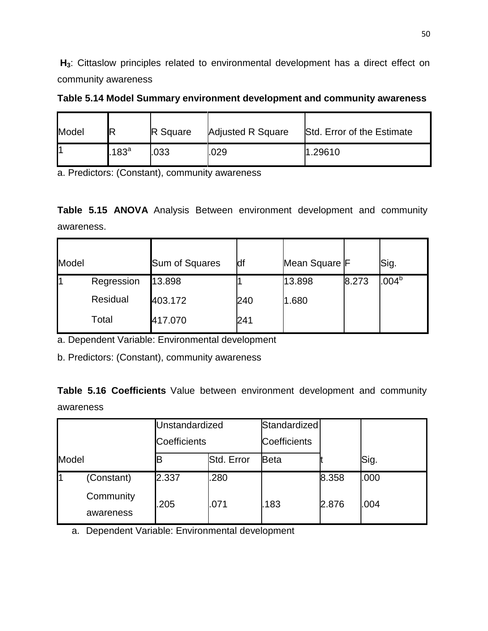**H3**: Cittaslow principles related to environmental development has a direct effect on community awareness

| Table 5.14 Model Summary environment development and community awareness |  |  |
|--------------------------------------------------------------------------|--|--|
|                                                                          |  |  |

| Model |          | <b>R</b> Square | <b>Adjusted R Square</b> | Std. Error of the Estimate |
|-------|----------|-----------------|--------------------------|----------------------------|
|       | $.183^a$ | .033            | .029                     | .29610                     |

a. Predictors: (Constant), community awareness

**Table 5.15 ANOVA** Analysis Between environment development and community awareness.

| Model |            | <b>Sum of Squares</b> | df  | Mean Square F |       | Sig.              |
|-------|------------|-----------------------|-----|---------------|-------|-------------------|
|       | Regression | 13.898                |     | 13.898        | 8.273 | .004 <sup>b</sup> |
|       | Residual   | 403.172               | 240 | 1.680         |       |                   |
|       | Total      | 417.070               | 241 |               |       |                   |

a. Dependent Variable: Environmental development

b. Predictors: (Constant), community awareness

**Table 5.16 Coefficients** Value between environment development and community awareness

|       |                        | Unstandardized<br>Coefficients |            | Standardized<br><b>Coefficients</b> |       |      |
|-------|------------------------|--------------------------------|------------|-------------------------------------|-------|------|
|       |                        |                                |            |                                     |       |      |
| Model |                        | В                              | Std. Error | Beta                                |       | Sig. |
| l1    | (Constant)             | 2.337                          | .280       |                                     | 8.358 | .000 |
|       | Community<br>awareness | .205                           | .071       | .183                                | 2.876 | .004 |

a. Dependent Variable: Environmental development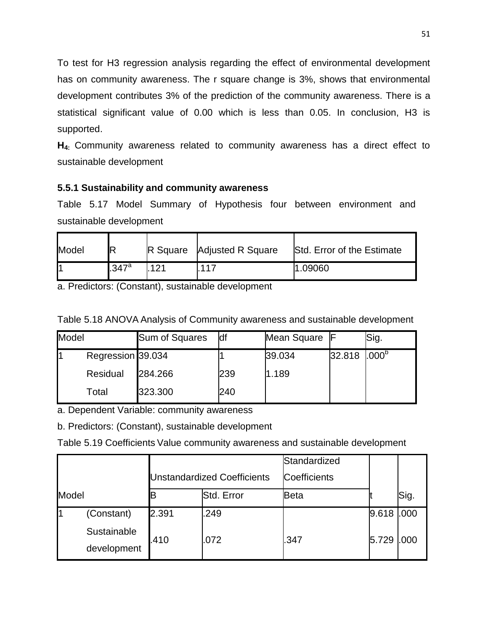To test for H3 regression analysis regarding the effect of environmental development has on community awareness. The r square change is 3%, shows that environmental development contributes 3% of the prediction of the community awareness. There is a statistical significant value of 0.00 which is less than 0.05. In conclusion, H3 is supported.

**H4:** Community awareness related to community awareness has a direct effect to sustainable development

# **5.5.1 Sustainability and community awareness**

Table 5.17 Model Summary of Hypothesis four between environment and sustainable development

| Model | IR    |     | <b>R</b> Square Adjusted R Square | Std. Error of the Estimate |
|-------|-------|-----|-----------------------------------|----------------------------|
|       | .347a | 121 | .117                              | 1.09060                    |

a. Predictors: (Constant), sustainable development

| Table 5.18 ANOVA Analysis of Community awareness and sustainable development |  |
|------------------------------------------------------------------------------|--|
|------------------------------------------------------------------------------|--|

| Model |                   | <b>Sum of Squares</b> | <b>df</b> | Mean Square |        | Sig.              |
|-------|-------------------|-----------------------|-----------|-------------|--------|-------------------|
|       | Regression 39.034 |                       |           | 39.034      | 32.818 | .000 <sup>b</sup> |
|       | Residual          | 284.266               | 239       | 1.189       |        |                   |
|       | Total             | 323.300               | 240       |             |        |                   |

a. Dependent Variable: community awareness

b. Predictors: (Constant), sustainable development

Table 5.19 Coefficients Value community awareness and sustainable development

|       |                            | <b>Unstandardized Coefficients</b> |            | Standardized<br>Coefficients |       |                  |
|-------|----------------------------|------------------------------------|------------|------------------------------|-------|------------------|
| Model |                            |                                    | Std. Error | <b>Beta</b>                  |       | Sig.             |
|       | (Constant)                 | 2.391                              | .249       |                              | 9.618 | L <sub>000</sub> |
|       | Sustainable<br>development | .410                               | .072       | .347                         | 5.729 | <b>1.000</b>     |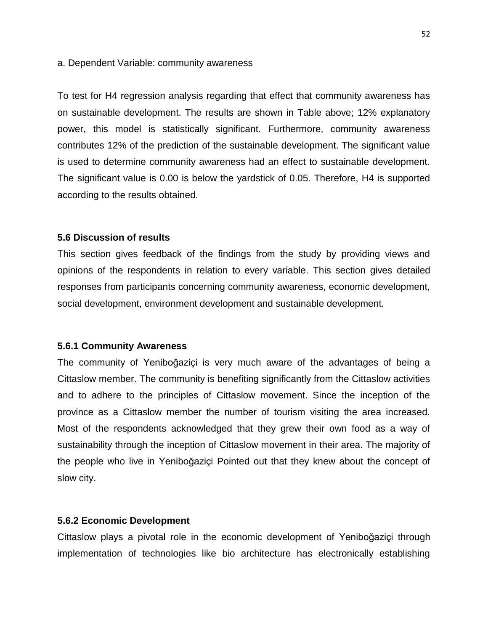#### a. Dependent Variable: community awareness

To test for H4 regression analysis regarding that effect that community awareness has on sustainable development. The results are shown in Table above; 12% explanatory power, this model is statistically significant. Furthermore, community awareness contributes 12% of the prediction of the sustainable development. The significant value is used to determine community awareness had an effect to sustainable development. The significant value is 0.00 is below the yardstick of 0.05. Therefore, H4 is supported according to the results obtained.

#### **5.6 Discussion of results**

This section gives feedback of the findings from the study by providing views and opinions of the respondents in relation to every variable. This section gives detailed responses from participants concerning community awareness, economic development, social development, environment development and sustainable development.

#### **5.6.1 Community Awareness**

The community of Yeniboğaziçi is very much aware of the advantages of being a Cittaslow member. The community is benefiting significantly from the Cittaslow activities and to adhere to the principles of Cittaslow movement. Since the inception of the province as a Cittaslow member the number of tourism visiting the area increased. Most of the respondents acknowledged that they grew their own food as a way of sustainability through the inception of Cittaslow movement in their area. The majority of the people who live in Yeniboğaziçi Pointed out that they knew about the concept of slow city.

#### **5.6.2 Economic Development**

Cittaslow plays a pivotal role in the economic development of Yeniboğaziçi through implementation of technologies like bio architecture has electronically establishing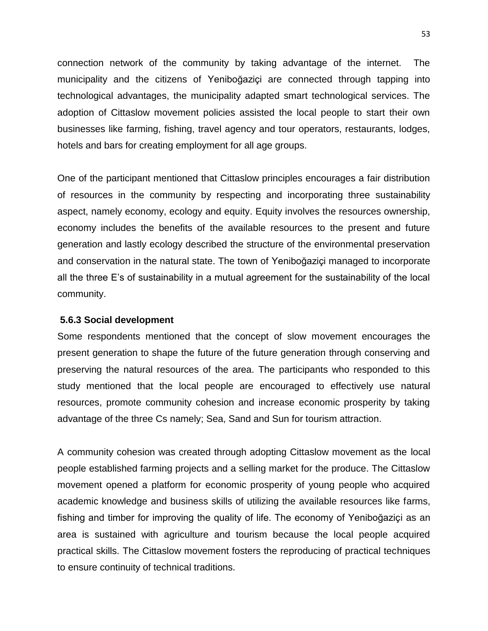connection network of the community by taking advantage of the internet. The municipality and the citizens of Yeniboğaziçi are connected through tapping into technological advantages, the municipality adapted smart technological services. The adoption of Cittaslow movement policies assisted the local people to start their own businesses like farming, fishing, travel agency and tour operators, restaurants, lodges, hotels and bars for creating employment for all age groups.

One of the participant mentioned that Cittaslow principles encourages a fair distribution of resources in the community by respecting and incorporating three sustainability aspect, namely economy, ecology and equity. Equity involves the resources ownership, economy includes the benefits of the available resources to the present and future generation and lastly ecology described the structure of the environmental preservation and conservation in the natural state. The town of Yeniboğaziçi managed to incorporate all the three E's of sustainability in a mutual agreement for the sustainability of the local community.

#### **5.6.3 Social development**

Some respondents mentioned that the concept of slow movement encourages the present generation to shape the future of the future generation through conserving and preserving the natural resources of the area. The participants who responded to this study mentioned that the local people are encouraged to effectively use natural resources, promote community cohesion and increase economic prosperity by taking advantage of the three Cs namely; Sea, Sand and Sun for tourism attraction.

A community cohesion was created through adopting Cittaslow movement as the local people established farming projects and a selling market for the produce. The Cittaslow movement opened a platform for economic prosperity of young people who acquired academic knowledge and business skills of utilizing the available resources like farms, fishing and timber for improving the quality of life. The economy of Yeniboğaziçi as an area is sustained with agriculture and tourism because the local people acquired practical skills. The Cittaslow movement fosters the reproducing of practical techniques to ensure continuity of technical traditions.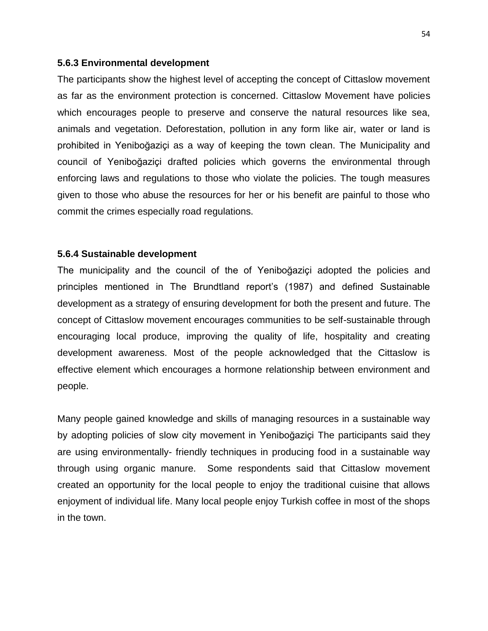#### **5.6.3 Environmental development**

The participants show the highest level of accepting the concept of Cittaslow movement as far as the environment protection is concerned. Cittaslow Movement have policies which encourages people to preserve and conserve the natural resources like sea, animals and vegetation. Deforestation, pollution in any form like air, water or land is prohibited in Yeniboğaziçi as a way of keeping the town clean. The Municipality and council of Yeniboğaziçi drafted policies which governs the environmental through enforcing laws and regulations to those who violate the policies. The tough measures given to those who abuse the resources for her or his benefit are painful to those who commit the crimes especially road regulations.

#### **5.6.4 Sustainable development**

The municipality and the council of the of Yeniboğaziçi adopted the policies and principles mentioned in The Brundtland report's (1987) and defined Sustainable development as a strategy of ensuring development for both the present and future. The concept of Cittaslow movement encourages communities to be self-sustainable through encouraging local produce, improving the quality of life, hospitality and creating development awareness. Most of the people acknowledged that the Cittaslow is effective element which encourages a hormone relationship between environment and people.

Many people gained knowledge and skills of managing resources in a sustainable way by adopting policies of slow city movement in Yeniboğaziçi The participants said they are using environmentally- friendly techniques in producing food in a sustainable way through using organic manure. Some respondents said that Cittaslow movement created an opportunity for the local people to enjoy the traditional cuisine that allows enjoyment of individual life. Many local people enjoy Turkish coffee in most of the shops in the town.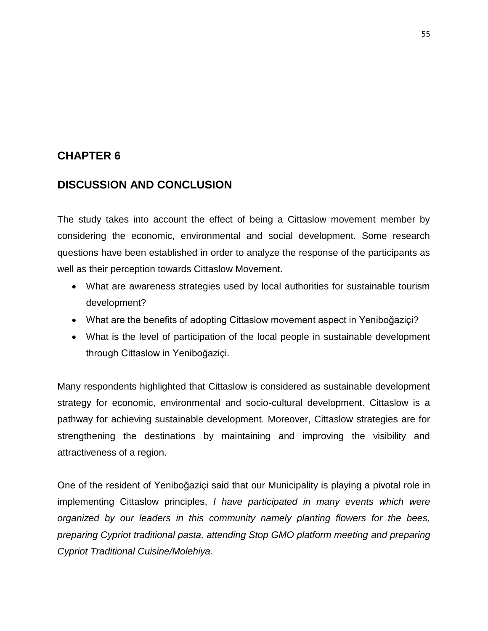# **CHAPTER 6**

# **DISCUSSION AND CONCLUSION**

The study takes into account the effect of being a Cittaslow movement member by considering the economic, environmental and social development. Some research questions have been established in order to analyze the response of the participants as well as their perception towards Cittaslow Movement.

- What are awareness strategies used by local authorities for sustainable tourism development?
- What are the benefits of adopting Cittaslow movement aspect in Yeniboğaziçi?
- What is the level of participation of the local people in sustainable development through Cittaslow in Yeniboğaziçi.

Many respondents highlighted that Cittaslow is considered as sustainable development strategy for economic, environmental and socio-cultural development. Cittaslow is a pathway for achieving sustainable development. Moreover, Cittaslow strategies are for strengthening the destinations by maintaining and improving the visibility and attractiveness of a region.

One of the resident of Yeniboğaziçi said that our Municipality is playing a pivotal role in implementing Cittaslow principles, *I have participated in many events which were organized by our leaders in this community namely planting flowers for the bees, preparing Cypriot traditional pasta, attending Stop GMO platform meeting and preparing Cypriot Traditional Cuisine/Molehiya.*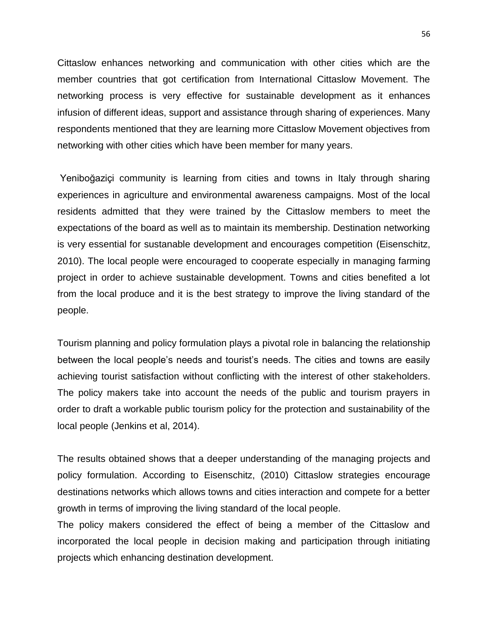Cittaslow enhances networking and communication with other cities which are the member countries that got certification from International Cittaslow Movement. The networking process is very effective for sustainable development as it enhances infusion of different ideas, support and assistance through sharing of experiences. Many respondents mentioned that they are learning more Cittaslow Movement objectives from networking with other cities which have been member for many years.

Yeniboğaziçi community is learning from cities and towns in Italy through sharing experiences in agriculture and environmental awareness campaigns. Most of the local residents admitted that they were trained by the Cittaslow members to meet the expectations of the board as well as to maintain its membership. Destination networking is very essential for sustanable development and encourages competition (Eisenschitz, 2010). The local people were encouraged to cooperate especially in managing farming project in order to achieve sustainable development. Towns and cities benefited a lot from the local produce and it is the best strategy to improve the living standard of the people.

Tourism planning and policy formulation plays a pivotal role in balancing the relationship between the local people's needs and tourist's needs. The cities and towns are easily achieving tourist satisfaction without conflicting with the interest of other stakeholders. The policy makers take into account the needs of the public and tourism prayers in order to draft a workable public tourism policy for the protection and sustainability of the local people (Jenkins et al, 2014).

The results obtained shows that a deeper understanding of the managing projects and policy formulation. According to Eisenschitz, (2010) Cittaslow strategies encourage destinations networks which allows towns and cities interaction and compete for a better growth in terms of improving the living standard of the local people.

The policy makers considered the effect of being a member of the Cittaslow and incorporated the local people in decision making and participation through initiating projects which enhancing destination development.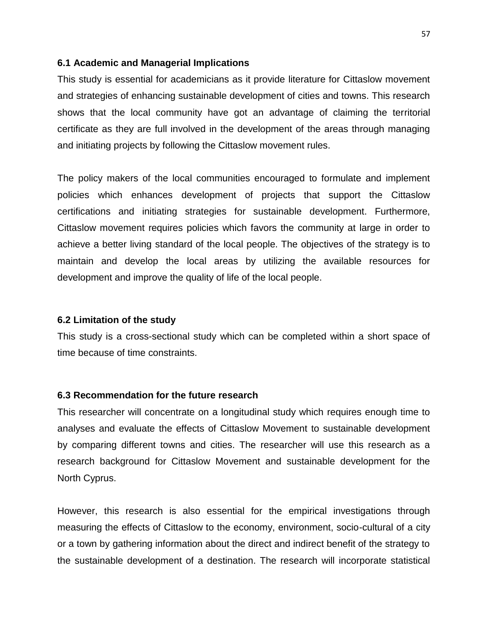#### **6.1 Academic and Managerial Implications**

This study is essential for academicians as it provide literature for Cittaslow movement and strategies of enhancing sustainable development of cities and towns. This research shows that the local community have got an advantage of claiming the territorial certificate as they are full involved in the development of the areas through managing and initiating projects by following the Cittaslow movement rules.

The policy makers of the local communities encouraged to formulate and implement policies which enhances development of projects that support the Cittaslow certifications and initiating strategies for sustainable development. Furthermore, Cittaslow movement requires policies which favors the community at large in order to achieve a better living standard of the local people. The objectives of the strategy is to maintain and develop the local areas by utilizing the available resources for development and improve the quality of life of the local people.

#### **6.2 Limitation of the study**

This study is a cross-sectional study which can be completed within a short space of time because of time constraints.

#### **6.3 Recommendation for the future research**

This researcher will concentrate on a longitudinal study which requires enough time to analyses and evaluate the effects of Cittaslow Movement to sustainable development by comparing different towns and cities. The researcher will use this research as a research background for Cittaslow Movement and sustainable development for the North Cyprus.

However, this research is also essential for the empirical investigations through measuring the effects of Cittaslow to the economy, environment, socio-cultural of a city or a town by gathering information about the direct and indirect benefit of the strategy to the sustainable development of a destination. The research will incorporate statistical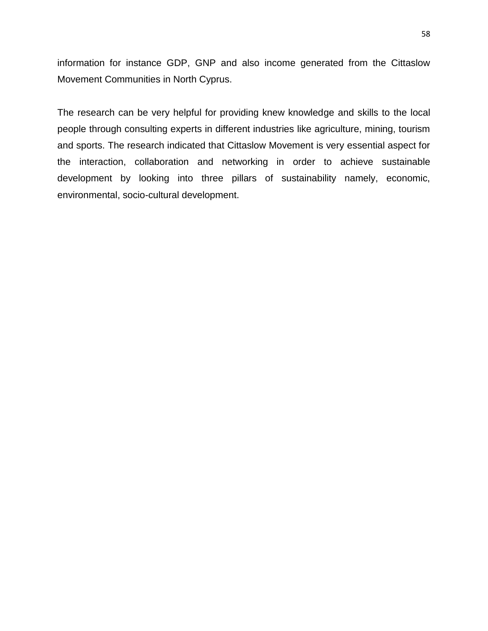information for instance GDP, GNP and also income generated from the Cittaslow Movement Communities in North Cyprus.

The research can be very helpful for providing knew knowledge and skills to the local people through consulting experts in different industries like agriculture, mining, tourism and sports. The research indicated that Cittaslow Movement is very essential aspect for the interaction, collaboration and networking in order to achieve sustainable development by looking into three pillars of sustainability namely, economic, environmental, socio-cultural development.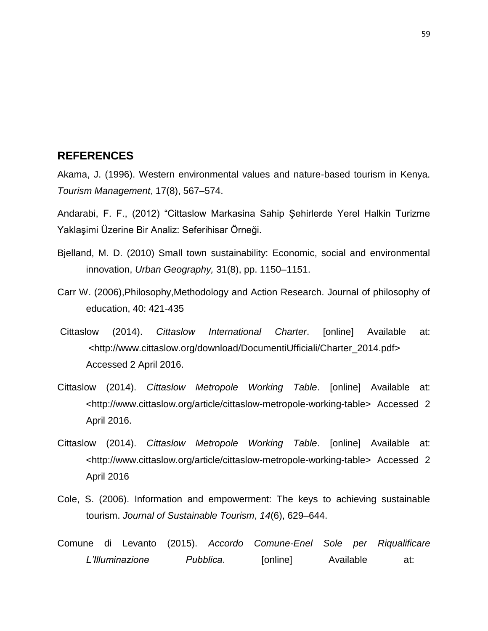#### **REFERENCES**

Akama, J. (1996). Western environmental values and nature-based tourism in Kenya. *Tourism Management*, 17(8), 567–574.

Andarabi, F. F., (2012) "Cittaslow Markasina Sahip Şehirlerde Yerel Halkin Turizme Yaklaşimi Üzerine Bir Analiz: Seferihisar Örneği.

- Bjelland, M. D. (2010) Small town sustainability: Economic, social and environmental innovation, *Urban Geography,* 31(8), pp. 1150–1151.
- Carr W. (2006),Philosophy,Methodology and Action Research. Journal of philosophy of education, 40: 421-435
- Cittaslow (2014). *Cittaslow International Charter*. [online] Available at: <http://www.cittaslow.org/download/DocumentiUfficiali/Charter\_2014.pdf> Accessed 2 April 2016.
- Cittaslow (2014). *Cittaslow Metropole Working Table*. [online] Available at: <http://www.cittaslow.org/article/cittaslow-metropole-working-table> Accessed 2 April 2016.
- Cittaslow (2014). *Cittaslow Metropole Working Table*. [online] Available at: <http://www.cittaslow.org/article/cittaslow-metropole-working-table> Accessed 2 April 2016
- Cole, S. (2006). Information and empowerment: The keys to achieving sustainable tourism. *Journal of Sustainable Tourism*, *14*(6), 629–644.
- Comune di Levanto (2015). *Accordo Comune-Enel Sole per Riqualificare*  L'Illuminazione Pubblica. [online] Available at: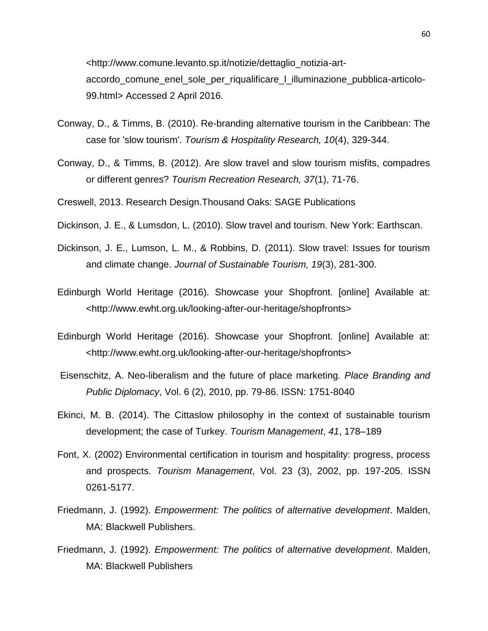<http://www.comune.levanto.sp.it/notizie/dettaglio\_notizia-artaccordo\_comune\_enel\_sole\_per\_riqualificare\_l\_illuminazione\_pubblica-articolo-99.html> Accessed 2 April 2016.

- Conway, D., & Timms, B. (2010). Re-branding alternative tourism in the Caribbean: The case for 'slow tourism'. *Tourism & Hospitality Research, 10*(4), 329-344.
- Conway, D., & Timms, B. (2012). Are slow travel and slow tourism misfits, compadres or different genres? *Tourism Recreation Research, 37*(1), 71-76.
- Creswell, 2013. Research Design.Thousand Oaks: SAGE Publications
- Dickinson, J. E., & Lumsdon, L. (2010). Slow travel and tourism. New York: Earthscan.
- Dickinson, J. E., Lumson, L. M., & Robbins, D. (2011). Slow travel: Issues for tourism and climate change. *Journal of Sustainable Tourism, 19*(3), 281-300.
- Edinburgh World Heritage (2016). Showcase your Shopfront. [online] Available at: <http://www.ewht.org.uk/looking-after-our-heritage/shopfronts>
- Edinburgh World Heritage (2016). Showcase your Shopfront. [online] Available at: <http://www.ewht.org.uk/looking-after-our-heritage/shopfronts>
- Eisenschitz, A. Neo-liberalism and the future of place marketing. *Place Branding and Public Diplomacy*, Vol. 6 (2), 2010, pp. 79-86. ISSN: 1751-8040
- Ekinci, M. B. (2014). The Cittaslow philosophy in the context of sustainable tourism development; the case of Turkey. *Tourism Management*, *41*, 178–189
- Font, X. (2002) Environmental certification in tourism and hospitality: progress, process and prospects. *Tourism Management*, Vol. 23 (3), 2002, pp. 197-205. ISSN 0261-5177.
- Friedmann, J. (1992). *Empowerment: The politics of alternative development*. Malden, MA: Blackwell Publishers.
- Friedmann, J. (1992). *Empowerment: The politics of alternative development*. Malden, MA: Blackwell Publishers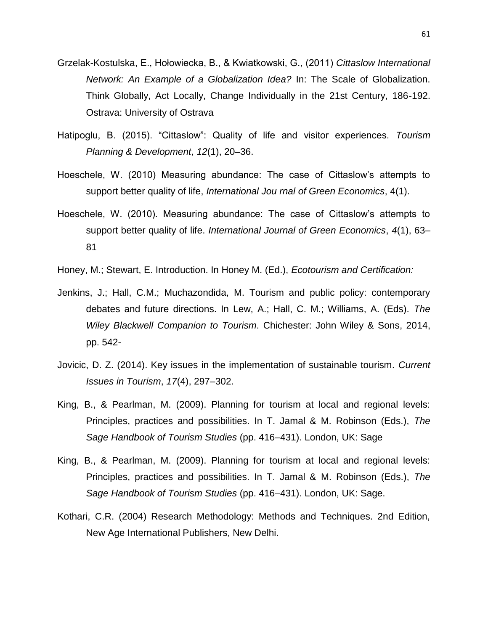- Grzelak-Kostulska, E., Hołowiecka, B., & Kwiatkowski, G., (2011) *Cittaslow International Network: An Example of a Globalization Idea?* In: The Scale of Globalization. Think Globally, Act Locally, Change Individually in the 21st Century, 186-192. Ostrava: University of Ostrava
- Hatipoglu, B. (2015). "Cittaslow": Quality of life and visitor experiences. *Tourism Planning & Development*, *12*(1), 20–36.
- Hoeschele, W. (2010) Measuring abundance: The case of Cittaslow's attempts to support better quality of life, *International Jou rnal of Green Economics*, 4(1).
- Hoeschele, W. (2010). Measuring abundance: The case of Cittaslow's attempts to support better quality of life. *International Journal of Green Economics*, *4*(1), 63– 81
- Honey, M.; Stewart, E. Introduction. In Honey M. (Ed.), *Ecotourism and Certification:*
- Jenkins, J.; Hall, C.M.; Muchazondida, M. Tourism and public policy: contemporary debates and future directions. In Lew, A.; Hall, C. M.; Williams, A. (Eds). *The Wiley Blackwell Companion to Tourism*. Chichester: John Wiley & Sons, 2014, pp. 542-
- Jovicic, D. Z. (2014). Key issues in the implementation of sustainable tourism. *Current Issues in Tourism*, *17*(4), 297–302.
- King, B., & Pearlman, M. (2009). Planning for tourism at local and regional levels: Principles, practices and possibilities. In T. Jamal & M. Robinson (Eds.), *The Sage Handbook of Tourism Studies* (pp. 416–431). London, UK: Sage
- King, B., & Pearlman, M. (2009). Planning for tourism at local and regional levels: Principles, practices and possibilities. In T. Jamal & M. Robinson (Eds.), *The Sage Handbook of Tourism Studies* (pp. 416–431). London, UK: Sage.
- Kothari, C.R. (2004) Research Methodology: Methods and Techniques. 2nd Edition, New Age International Publishers, New Delhi.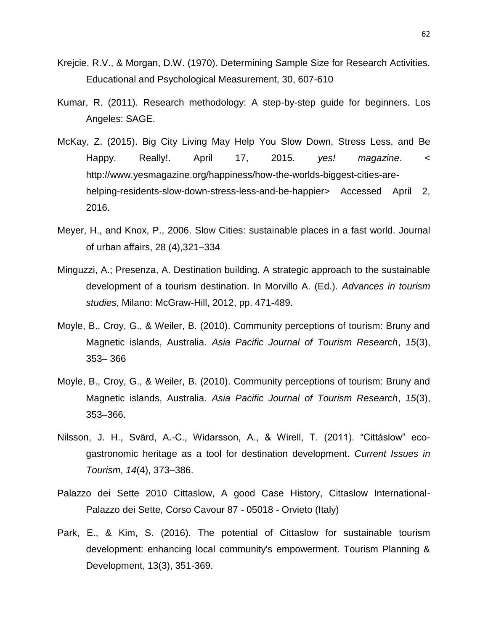- Krejcie, R.V., & Morgan, D.W. (1970). Determining Sample Size for Research Activities. Educational and Psychological Measurement, 30, 607-610
- Kumar, R. (2011). Research methodology: A step-by-step guide for beginners. Los Angeles: SAGE.
- McKay, Z. (2015). Big City Living May Help You Slow Down, Stress Less, and Be Happy. Really!. April 17, 2015. *yes! magazine*. < http://www.yesmagazine.org/happiness/how-the-worlds-biggest-cities-arehelping-residents-slow-down-stress-less-and-be-happier> Accessed April 2, 2016.
- Meyer, H., and Knox, P., 2006. Slow Cities: sustainable places in a fast world. Journal of urban affairs, 28 (4),321–334
- Minguzzi, A.; Presenza, A. Destination building. A strategic approach to the sustainable development of a tourism destination. In Morvillo A. (Ed.). *Advances in tourism studies*, Milano: McGraw-Hill, 2012, pp. 471-489.
- Moyle, B., Croy, G., & Weiler, B. (2010). Community perceptions of tourism: Bruny and Magnetic islands, Australia. *Asia Pacific Journal of Tourism Research*, *15*(3), 353– 366
- Moyle, B., Croy, G., & Weiler, B. (2010). Community perceptions of tourism: Bruny and Magnetic islands, Australia. *Asia Pacific Journal of Tourism Research*, *15*(3), 353–366.
- Nilsson, J. H., Svärd, A.-C., Widarsson, A., & Wirell, T. (2011). "Cittáslow" ecogastronomic heritage as a tool for destination development. *Current Issues in Tourism*, *14*(4), 373–386.
- Palazzo dei Sette 2010 Cittaslow, A good Case History, Cittaslow International-Palazzo dei Sette, Corso Cavour 87 - 05018 - Orvieto (Italy)
- Park, E., & Kim, S. (2016). The potential of Cittaslow for sustainable tourism development: enhancing local community's empowerment. Tourism Planning & Development, 13(3), 351-369.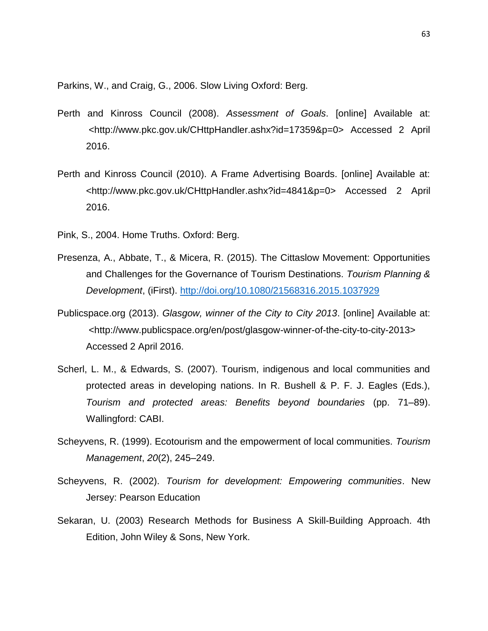Parkins, W., and Craig, G., 2006. Slow Living Oxford: Berg.

- Perth and Kinross Council (2008). *Assessment of Goals*. [online] Available at: <http://www.pkc.gov.uk/CHttpHandler.ashx?id=17359&p=0> Accessed 2 April 2016.
- Perth and Kinross Council (2010). A Frame Advertising Boards. [online] Available at: <http://www.pkc.gov.uk/CHttpHandler.ashx?id=4841&p=0> Accessed 2 April 2016.
- Pink, S., 2004. Home Truths. Oxford: Berg.
- Presenza, A., Abbate, T., & Micera, R. (2015). The Cittaslow Movement: Opportunities and Challenges for the Governance of Tourism Destinations. *Tourism Planning & Development*, (iFirst).<http://doi.org/10.1080/21568316.2015.1037929>
- Publicspace.org (2013). *Glasgow, winner of the City to City 2013*. [online] Available at: <http://www.publicspace.org/en/post/glasgow-winner-of-the-city-to-city-2013> Accessed 2 April 2016.
- Scherl, L. M., & Edwards, S. (2007). Tourism, indigenous and local communities and protected areas in developing nations. In R. Bushell & P. F. J. Eagles (Eds.), *Tourism and protected areas: Benefits beyond boundaries* (pp. 71–89). Wallingford: CABI.
- Scheyvens, R. (1999). Ecotourism and the empowerment of local communities. *Tourism Management*, *20*(2), 245–249.
- Scheyvens, R. (2002). *Tourism for development: Empowering communities*. New Jersey: Pearson Education
- Sekaran, U. (2003) Research Methods for Business A Skill-Building Approach. 4th Edition, John Wiley & Sons, New York.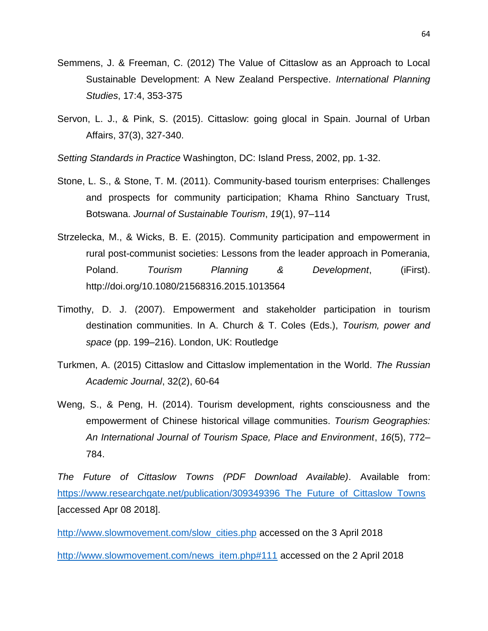- Semmens, J. & Freeman, C. (2012) The Value of Cittaslow as an Approach to Local Sustainable Development: A New Zealand Perspective. *International Planning Studies*, 17:4, 353-375
- Servon, L. J., & Pink, S. (2015). Cittaslow: going glocal in Spain. Journal of Urban Affairs, 37(3), 327-340.

*Setting Standards in Practice* Washington, DC: Island Press, 2002, pp. 1-32.

- Stone, L. S., & Stone, T. M. (2011). Community-based tourism enterprises: Challenges and prospects for community participation; Khama Rhino Sanctuary Trust, Botswana. *Journal of Sustainable Tourism*, *19*(1), 97–114
- Strzelecka, M., & Wicks, B. E. (2015). Community participation and empowerment in rural post-communist societies: Lessons from the leader approach in Pomerania, Poland. *Tourism Planning & Development*, (iFirst). http://doi.org/10.1080/21568316.2015.1013564
- Timothy, D. J. (2007). Empowerment and stakeholder participation in tourism destination communities. In A. Church & T. Coles (Eds.), *Tourism, power and space* (pp. 199–216). London, UK: Routledge
- Turkmen, A. (2015) Cittaslow and Cittaslow implementation in the World. *The Russian Academic Journal*, 32(2), 60-64
- Weng, S., & Peng, H. (2014). Tourism development, rights consciousness and the empowerment of Chinese historical village communities. *Tourism Geographies: An International Journal of Tourism Space, Place and Environment*, *16*(5), 772– 784.

*The Future of Cittaslow Towns (PDF Download Available)*. Available from: https://www.researchgate.net/publication/309349396 The Future of Cittaslow Towns [accessed Apr 08 2018].

[http://www.slowmovement.com/slow\\_cities.php](http://www.slowmovement.com/slow_cities.php) accessed on the 3 April 2018

[http://www.slowmovement.com/news\\_item.php#111](http://www.slowmovement.com/news_item.php#111) accessed on the 2 April 2018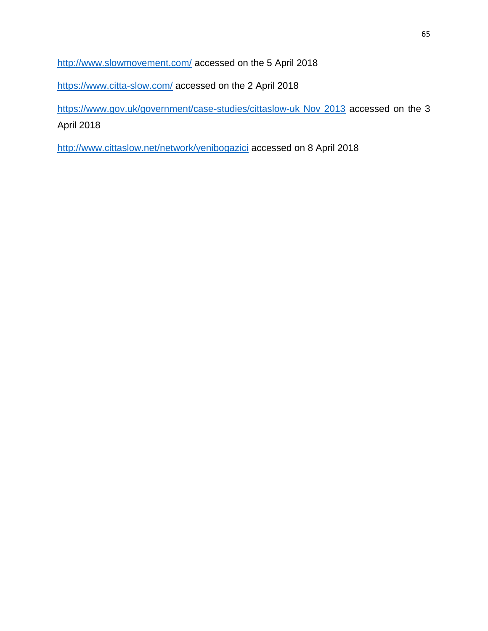<http://www.slowmovement.com/> accessed on the 5 April 2018

<https://www.citta-slow.com/> accessed on the 2 April 2018

[https://www.gov.uk/government/case-studies/cittaslow-uk Nov 2013](https://www.gov.uk/government/case-studies/cittaslow-uk%20Nov%202013) accessed on the 3 April 2018

<http://www.cittaslow.net/network/yenibogazici> accessed on 8 April 2018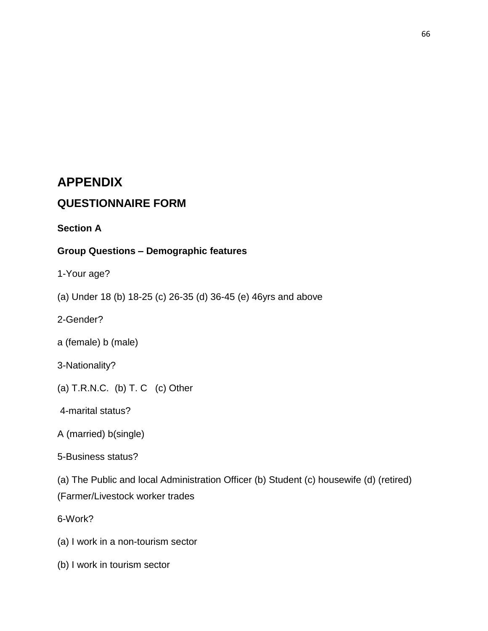# **APPENDIX**

# **QUESTIONNAIRE FORM**

**Section A**

#### **Group Questions – Demographic features**

1-Your age?

(a) Under 18 (b) 18-25 (c) 26-35 (d) 36-45 (e) 46yrs and above

2-Gender?

a (female) b (male)

3-Nationality?

(a)  $T.R.N.C.$  (b)  $T.C.$  (c) Other

4-marital status?

- A (married) b(single)
- 5-Business status?

(a) The Public and local Administration Officer (b) Student (c) housewife (d) (retired) (Farmer/Livestock worker trades

6-Work?

- (a) I work in a non-tourism sector
- (b) I work in tourism sector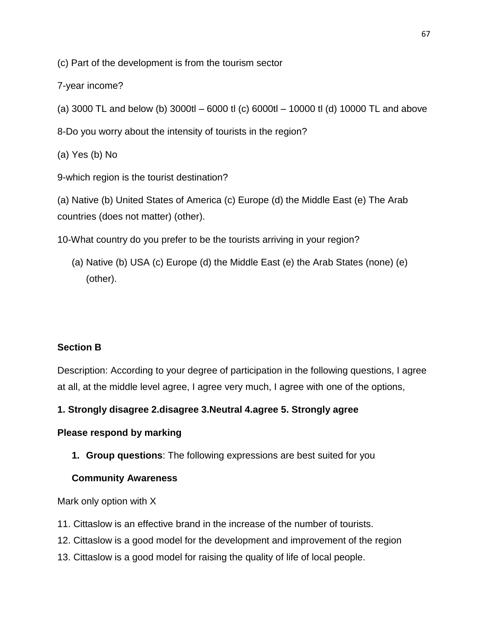(c) Part of the development is from the tourism sector

7-year income?

(a) 3000 TL and below (b) 3000tl – 6000 tl (c) 6000tl – 10000 tl (d) 10000 TL and above

8-Do you worry about the intensity of tourists in the region?

(a) Yes (b) No

9-which region is the tourist destination?

(a) Native (b) United States of America (c) Europe (d) the Middle East (e) The Arab countries (does not matter) (other).

10-What country do you prefer to be the tourists arriving in your region?

(a) Native (b) USA (c) Europe (d) the Middle East (e) the Arab States (none) (e) (other).

# **Section B**

Description: According to your degree of participation in the following questions, I agree at all, at the middle level agree, I agree very much, I agree with one of the options,

## **1. Strongly disagree 2.disagree 3.Neutral 4.agree 5. Strongly agree**

## **Please respond by marking**

**1. Group questions**: The following expressions are best suited for you

## **Community Awareness**

Mark only option with X

- 11. Cittaslow is an effective brand in the increase of the number of tourists.
- 12. Cittaslow is a good model for the development and improvement of the region
- 13. Cittaslow is a good model for raising the quality of life of local people.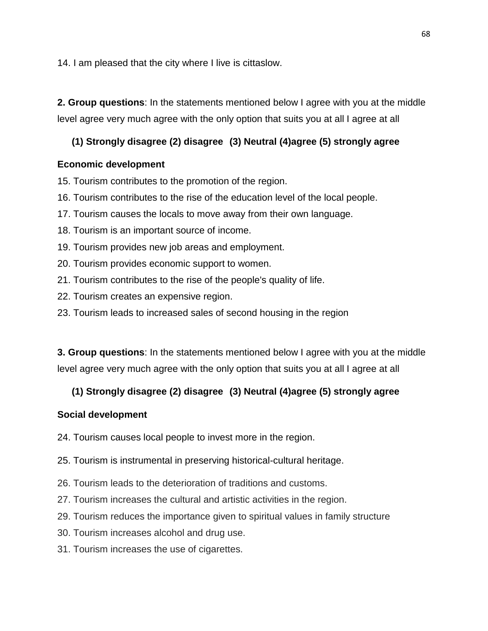14. I am pleased that the city where I live is cittaslow.

**2. Group questions**: In the statements mentioned below I agree with you at the middle level agree very much agree with the only option that suits you at all I agree at all

## **(1) Strongly disagree (2) disagree (3) Neutral (4)agree (5) strongly agree**

## **Economic development**

15. Tourism contributes to the promotion of the region.

- 16. Tourism contributes to the rise of the education level of the local people.
- 17. Tourism causes the locals to move away from their own language.
- 18. Tourism is an important source of income.
- 19. Tourism provides new job areas and employment.
- 20. Tourism provides economic support to women.
- 21. Tourism contributes to the rise of the people's quality of life.
- 22. Tourism creates an expensive region.
- 23. Tourism leads to increased sales of second housing in the region

**3. Group questions**: In the statements mentioned below I agree with you at the middle level agree very much agree with the only option that suits you at all I agree at all

# **(1) Strongly disagree (2) disagree (3) Neutral (4)agree (5) strongly agree**

## **Social development**

- 24. Tourism causes local people to invest more in the region.
- 25. Tourism is instrumental in preserving historical-cultural heritage.
- 26. Tourism leads to the deterioration of traditions and customs.
- 27. Tourism increases the cultural and artistic activities in the region.
- 29. Tourism reduces the importance given to spiritual values in family structure
- 30. Tourism increases alcohol and drug use.
- 31. Tourism increases the use of cigarettes.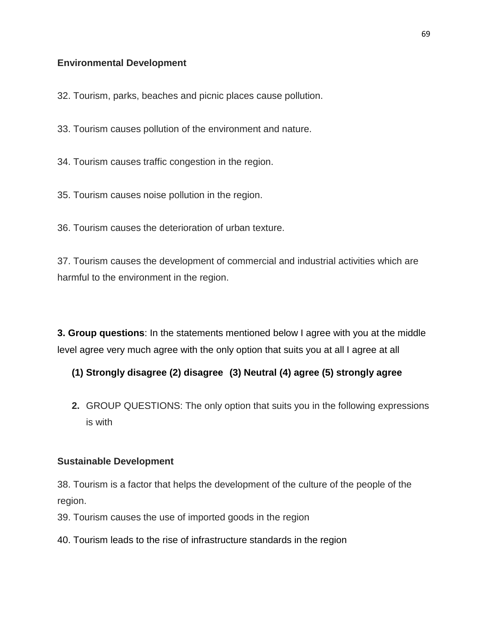#### **Environmental Development**

32. Tourism, parks, beaches and picnic places cause pollution.

33. Tourism causes pollution of the environment and nature.

34. Tourism causes traffic congestion in the region.

35. Tourism causes noise pollution in the region.

36. Tourism causes the deterioration of urban texture.

37. Tourism causes the development of commercial and industrial activities which are harmful to the environment in the region.

**3. Group questions**: In the statements mentioned below I agree with you at the middle level agree very much agree with the only option that suits you at all I agree at all

#### **(1) Strongly disagree (2) disagree (3) Neutral (4) agree (5) strongly agree**

**2.** GROUP QUESTIONS: The only option that suits you in the following expressions is with

#### **Sustainable Development**

38. Tourism is a factor that helps the development of the culture of the people of the region.

39. Tourism causes the use of imported goods in the region

40. Tourism leads to the rise of infrastructure standards in the region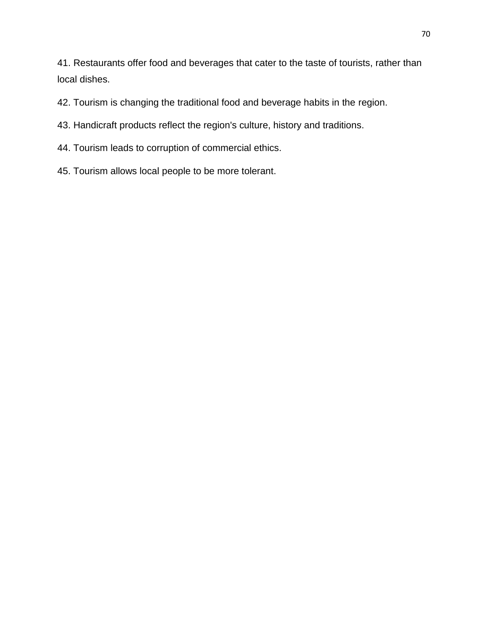41. Restaurants offer food and beverages that cater to the taste of tourists, rather than local dishes.

- 42. Tourism is changing the traditional food and beverage habits in the region.
- 43. Handicraft products reflect the region's culture, history and traditions.
- 44. Tourism leads to corruption of commercial ethics.
- 45. Tourism allows local people to be more tolerant.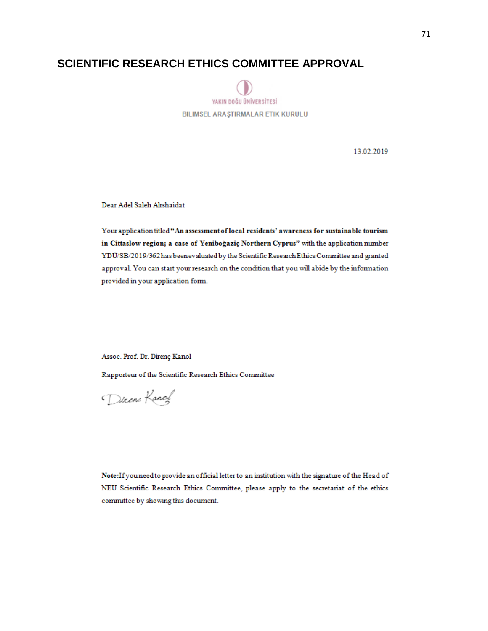# **SCIENTIFIC RESEARCH ETHICS COMMITTEE APPROVAL**



13.02.2019

Dear Adel Saleh Alrshaidat

Your application titled "An assessment of local residents' awareness for sustainable tourism in Cittaslow region; a case of Yeniboğaziç Northern Cyprus" with the application number YDÜ/SB/2019/362has been evaluated by the Scientific Research Ethics Committee and granted approval. You can start your research on the condition that you will abide by the information provided in your application form.

Assoc. Prof. Dr. Direnç Kanol

Rapporteur of the Scientific Research Ethics Committee

Direne Kanol

Note: If you need to provide an official letter to an institution with the signature of the Head of NEU Scientific Research Ethics Committee, please apply to the secretariat of the ethics committee by showing this document.